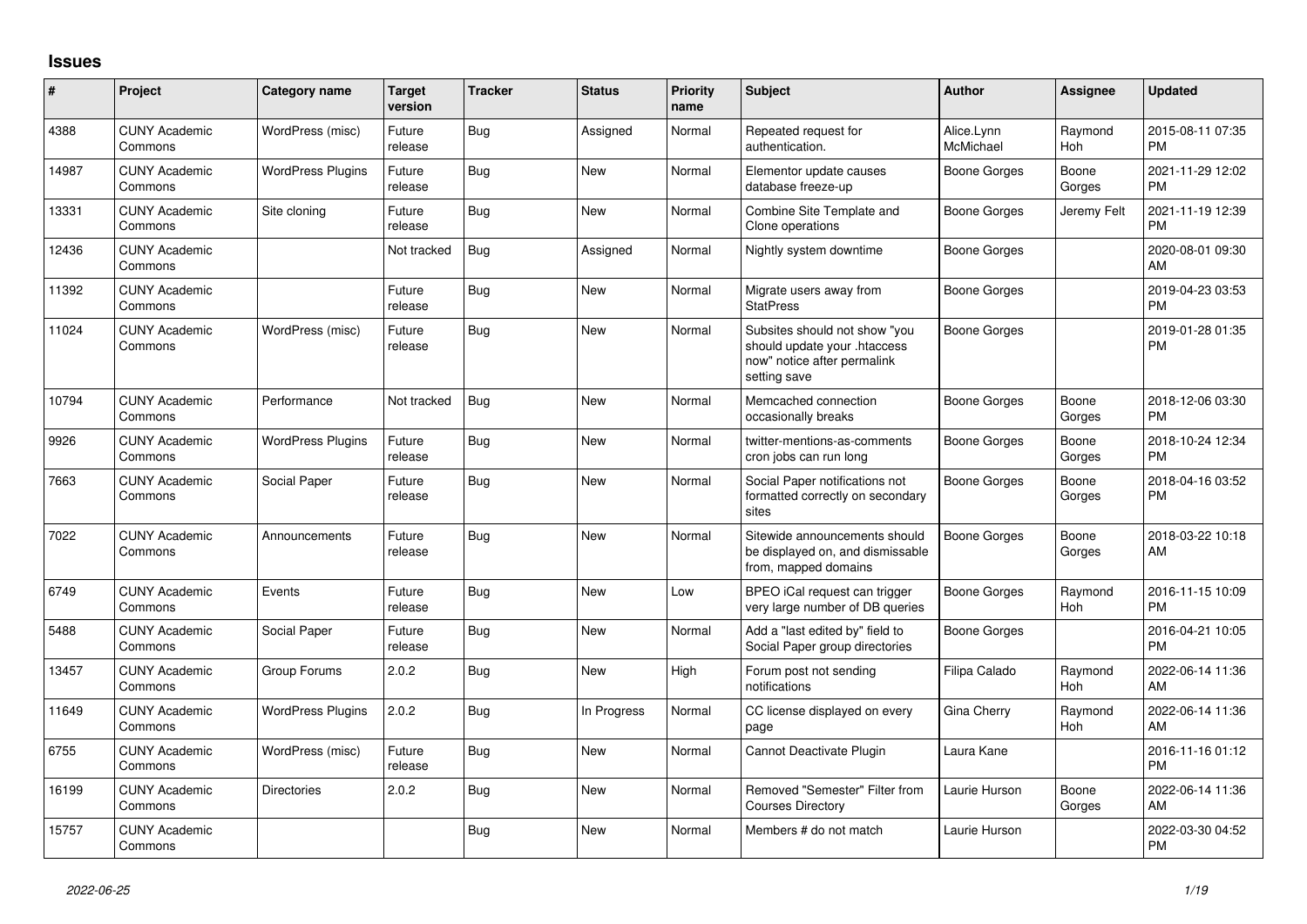## **Issues**

| #     | Project                         | <b>Category name</b>     | <b>Target</b><br>version | <b>Tracker</b> | <b>Status</b> | <b>Priority</b><br>name | <b>Subject</b>                                                                                               | <b>Author</b>           | <b>Assignee</b> | <b>Updated</b>                |
|-------|---------------------------------|--------------------------|--------------------------|----------------|---------------|-------------------------|--------------------------------------------------------------------------------------------------------------|-------------------------|-----------------|-------------------------------|
| 4388  | <b>CUNY Academic</b><br>Commons | WordPress (misc)         | Future<br>release        | Bug            | Assigned      | Normal                  | Repeated request for<br>authentication.                                                                      | Alice.Lynn<br>McMichael | Raymond<br>Hoh  | 2015-08-11 07:35<br><b>PM</b> |
| 14987 | <b>CUNY Academic</b><br>Commons | <b>WordPress Plugins</b> | Future<br>release        | Bug            | <b>New</b>    | Normal                  | Elementor update causes<br>database freeze-up                                                                | <b>Boone Gorges</b>     | Boone<br>Gorges | 2021-11-29 12:02<br><b>PM</b> |
| 13331 | <b>CUNY Academic</b><br>Commons | Site cloning             | Future<br>release        | <b>Bug</b>     | <b>New</b>    | Normal                  | Combine Site Template and<br>Clone operations                                                                | Boone Gorges            | Jeremy Felt     | 2021-11-19 12:39<br><b>PM</b> |
| 12436 | <b>CUNY Academic</b><br>Commons |                          | Not tracked              | Bug            | Assigned      | Normal                  | Nightly system downtime                                                                                      | Boone Gorges            |                 | 2020-08-01 09:30<br>AM        |
| 11392 | <b>CUNY Academic</b><br>Commons |                          | Future<br>release        | Bug            | <b>New</b>    | Normal                  | Migrate users away from<br><b>StatPress</b>                                                                  | <b>Boone Gorges</b>     |                 | 2019-04-23 03:53<br><b>PM</b> |
| 11024 | <b>CUNY Academic</b><br>Commons | WordPress (misc)         | Future<br>release        | Bug            | <b>New</b>    | Normal                  | Subsites should not show "you<br>should update your .htaccess<br>now" notice after permalink<br>setting save | <b>Boone Gorges</b>     |                 | 2019-01-28 01:35<br><b>PM</b> |
| 10794 | <b>CUNY Academic</b><br>Commons | Performance              | Not tracked              | <b>Bug</b>     | <b>New</b>    | Normal                  | Memcached connection<br>occasionally breaks                                                                  | <b>Boone Gorges</b>     | Boone<br>Gorges | 2018-12-06 03:30<br><b>PM</b> |
| 9926  | <b>CUNY Academic</b><br>Commons | <b>WordPress Plugins</b> | Future<br>release        | <b>Bug</b>     | <b>New</b>    | Normal                  | twitter-mentions-as-comments<br>cron jobs can run long                                                       | <b>Boone Gorges</b>     | Boone<br>Gorges | 2018-10-24 12:34<br><b>PM</b> |
| 7663  | <b>CUNY Academic</b><br>Commons | Social Paper             | Future<br>release        | Bug            | <b>New</b>    | Normal                  | Social Paper notifications not<br>formatted correctly on secondary<br>sites                                  | <b>Boone Gorges</b>     | Boone<br>Gorges | 2018-04-16 03:52<br><b>PM</b> |
| 7022  | <b>CUNY Academic</b><br>Commons | Announcements            | Future<br>release        | Bug            | <b>New</b>    | Normal                  | Sitewide announcements should<br>be displayed on, and dismissable<br>from, mapped domains                    | <b>Boone Gorges</b>     | Boone<br>Gorges | 2018-03-22 10:18<br>AM        |
| 6749  | <b>CUNY Academic</b><br>Commons | Events                   | Future<br>release        | Bug            | <b>New</b>    | Low                     | BPEO iCal request can trigger<br>very large number of DB queries                                             | <b>Boone Gorges</b>     | Raymond<br>Hoh  | 2016-11-15 10:09<br><b>PM</b> |
| 5488  | <b>CUNY Academic</b><br>Commons | Social Paper             | Future<br>release        | <b>Bug</b>     | <b>New</b>    | Normal                  | Add a "last edited by" field to<br>Social Paper group directories                                            | <b>Boone Gorges</b>     |                 | 2016-04-21 10:05<br><b>PM</b> |
| 13457 | <b>CUNY Academic</b><br>Commons | Group Forums             | 2.0.2                    | Bug            | <b>New</b>    | High                    | Forum post not sending<br>notifications                                                                      | Filipa Calado           | Raymond<br>Hoh  | 2022-06-14 11:36<br>AM        |
| 11649 | <b>CUNY Academic</b><br>Commons | <b>WordPress Plugins</b> | 2.0.2                    | Bug            | In Progress   | Normal                  | CC license displayed on every<br>page                                                                        | Gina Cherry             | Raymond<br>Hoh  | 2022-06-14 11:36<br>AM        |
| 6755  | <b>CUNY Academic</b><br>Commons | WordPress (misc)         | Future<br>release        | <b>Bug</b>     | <b>New</b>    | Normal                  | Cannot Deactivate Plugin                                                                                     | Laura Kane              |                 | 2016-11-16 01:12<br><b>PM</b> |
| 16199 | <b>CUNY Academic</b><br>Commons | <b>Directories</b>       | 2.0.2                    | Bug            | <b>New</b>    | Normal                  | Removed "Semester" Filter from<br><b>Courses Directory</b>                                                   | Laurie Hurson           | Boone<br>Gorges | 2022-06-14 11:36<br>AM        |
| 15757 | <b>CUNY Academic</b><br>Commons |                          |                          | <b>Bug</b>     | <b>New</b>    | Normal                  | Members # do not match                                                                                       | Laurie Hurson           |                 | 2022-03-30 04:52<br><b>PM</b> |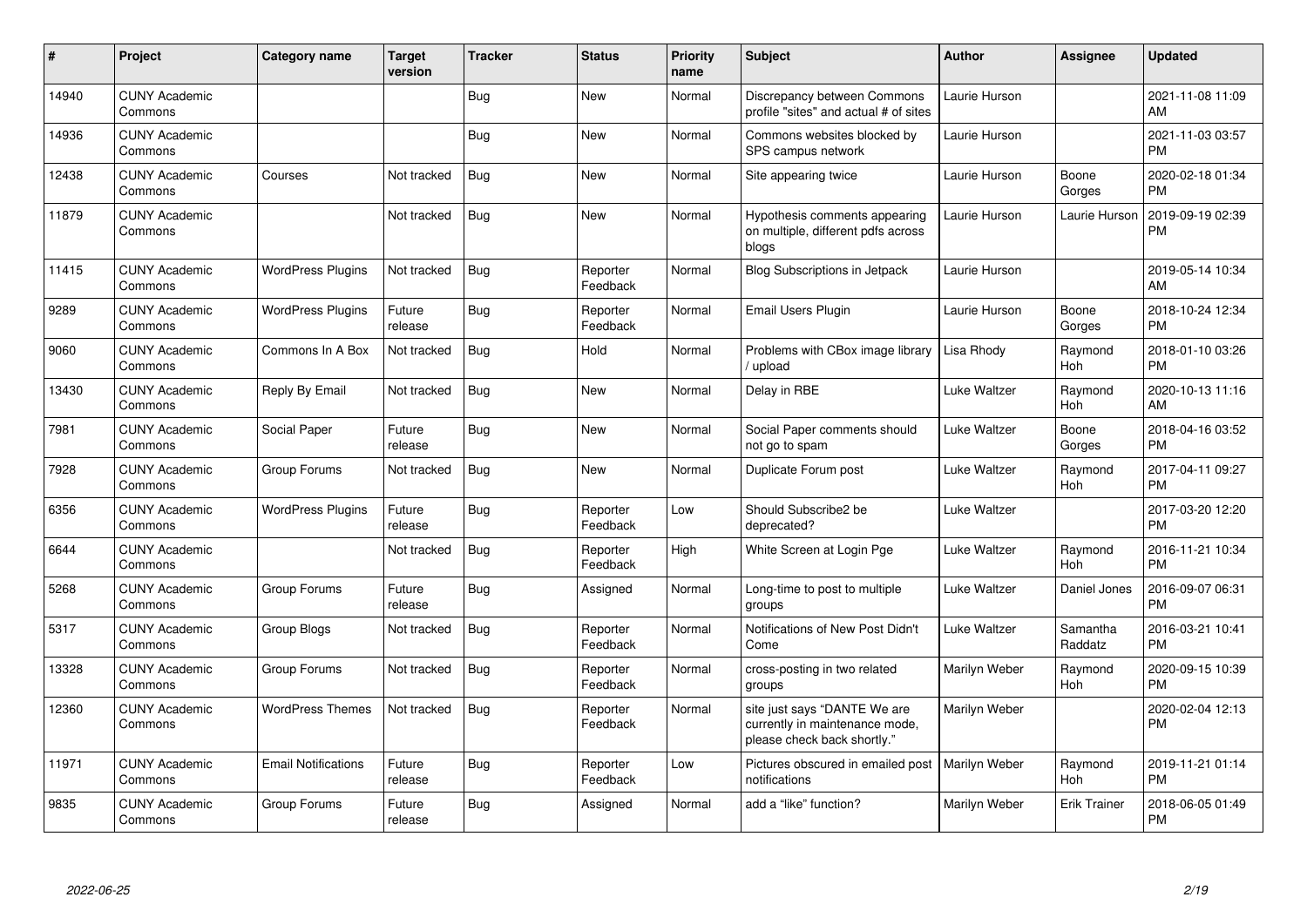| #     | Project                         | <b>Category name</b>       | <b>Target</b><br>version | <b>Tracker</b> | <b>Status</b>        | <b>Priority</b><br>name | <b>Subject</b>                                                                                | <b>Author</b>       | <b>Assignee</b>       | <b>Updated</b>                |
|-------|---------------------------------|----------------------------|--------------------------|----------------|----------------------|-------------------------|-----------------------------------------------------------------------------------------------|---------------------|-----------------------|-------------------------------|
| 14940 | <b>CUNY Academic</b><br>Commons |                            |                          | Bug            | <b>New</b>           | Normal                  | Discrepancy between Commons<br>profile "sites" and actual # of sites                          | Laurie Hurson       |                       | 2021-11-08 11:09<br>AM        |
| 14936 | <b>CUNY Academic</b><br>Commons |                            |                          | Bug            | <b>New</b>           | Normal                  | Commons websites blocked by<br>SPS campus network                                             | Laurie Hurson       |                       | 2021-11-03 03:57<br><b>PM</b> |
| 12438 | <b>CUNY Academic</b><br>Commons | Courses                    | Not tracked              | Bug            | <b>New</b>           | Normal                  | Site appearing twice                                                                          | Laurie Hurson       | Boone<br>Gorges       | 2020-02-18 01:34<br><b>PM</b> |
| 11879 | <b>CUNY Academic</b><br>Commons |                            | Not tracked              | Bug            | New                  | Normal                  | Hypothesis comments appearing<br>on multiple, different pdfs across<br>blogs                  | Laurie Hurson       | Laurie Hurson         | 2019-09-19 02:39<br><b>PM</b> |
| 11415 | <b>CUNY Academic</b><br>Commons | <b>WordPress Plugins</b>   | Not tracked              | Bug            | Reporter<br>Feedback | Normal                  | Blog Subscriptions in Jetpack                                                                 | Laurie Hurson       |                       | 2019-05-14 10:34<br>AM        |
| 9289  | <b>CUNY Academic</b><br>Commons | <b>WordPress Plugins</b>   | Future<br>release        | <b>Bug</b>     | Reporter<br>Feedback | Normal                  | <b>Email Users Plugin</b>                                                                     | Laurie Hurson       | Boone<br>Gorges       | 2018-10-24 12:34<br><b>PM</b> |
| 9060  | <b>CUNY Academic</b><br>Commons | Commons In A Box           | Not tracked              | <b>Bug</b>     | Hold                 | Normal                  | Problems with CBox image library<br>upload                                                    | Lisa Rhody          | Raymond<br><b>Hoh</b> | 2018-01-10 03:26<br><b>PM</b> |
| 13430 | <b>CUNY Academic</b><br>Commons | Reply By Email             | Not tracked              | <b>Bug</b>     | <b>New</b>           | Normal                  | Delay in RBE                                                                                  | <b>Luke Waltzer</b> | Raymond<br><b>Hoh</b> | 2020-10-13 11:16<br>AM        |
| 7981  | <b>CUNY Academic</b><br>Commons | Social Paper               | Future<br>release        | Bug            | <b>New</b>           | Normal                  | Social Paper comments should<br>not go to spam                                                | <b>Luke Waltzer</b> | Boone<br>Gorges       | 2018-04-16 03:52<br><b>PM</b> |
| 7928  | <b>CUNY Academic</b><br>Commons | Group Forums               | Not tracked              | <b>Bug</b>     | <b>New</b>           | Normal                  | Duplicate Forum post                                                                          | <b>Luke Waltzer</b> | Raymond<br><b>Hoh</b> | 2017-04-11 09:27<br><b>PM</b> |
| 6356  | <b>CUNY Academic</b><br>Commons | <b>WordPress Plugins</b>   | Future<br>release        | <b>Bug</b>     | Reporter<br>Feedback | Low                     | Should Subscribe2 be<br>deprecated?                                                           | <b>Luke Waltzer</b> |                       | 2017-03-20 12:20<br><b>PM</b> |
| 6644  | <b>CUNY Academic</b><br>Commons |                            | Not tracked              | Bug            | Reporter<br>Feedback | High                    | White Screen at Login Pge                                                                     | <b>Luke Waltzer</b> | Raymond<br>Hoh        | 2016-11-21 10:34<br><b>PM</b> |
| 5268  | <b>CUNY Academic</b><br>Commons | Group Forums               | Future<br>release        | <b>Bug</b>     | Assigned             | Normal                  | Long-time to post to multiple<br>groups                                                       | <b>Luke Waltzer</b> | Daniel Jones          | 2016-09-07 06:31<br>PM        |
| 5317  | <b>CUNY Academic</b><br>Commons | <b>Group Blogs</b>         | Not tracked              | <b>Bug</b>     | Reporter<br>Feedback | Normal                  | Notifications of New Post Didn't<br>Come                                                      | <b>Luke Waltzer</b> | Samantha<br>Raddatz   | 2016-03-21 10:41<br><b>PM</b> |
| 13328 | <b>CUNY Academic</b><br>Commons | Group Forums               | Not tracked              | <b>Bug</b>     | Reporter<br>Feedback | Normal                  | cross-posting in two related<br>groups                                                        | Marilyn Weber       | Raymond<br>Hoh        | 2020-09-15 10:39<br><b>PM</b> |
| 12360 | <b>CUNY Academic</b><br>Commons | <b>WordPress Themes</b>    | Not tracked              | <b>Bug</b>     | Reporter<br>Feedback | Normal                  | site just says "DANTE We are<br>currently in maintenance mode,<br>please check back shortly." | Marilyn Weber       |                       | 2020-02-04 12:13<br><b>PM</b> |
| 11971 | <b>CUNY Academic</b><br>Commons | <b>Email Notifications</b> | Future<br>release        | <b>Bug</b>     | Reporter<br>Feedback | Low                     | Pictures obscured in emailed post<br>notifications                                            | Marilyn Weber       | Raymond<br>Hoh        | 2019-11-21 01:14<br><b>PM</b> |
| 9835  | <b>CUNY Academic</b><br>Commons | Group Forums               | Future<br>release        | Bug            | Assigned             | Normal                  | add a "like" function?                                                                        | Marilyn Weber       | <b>Erik Trainer</b>   | 2018-06-05 01:49<br><b>PM</b> |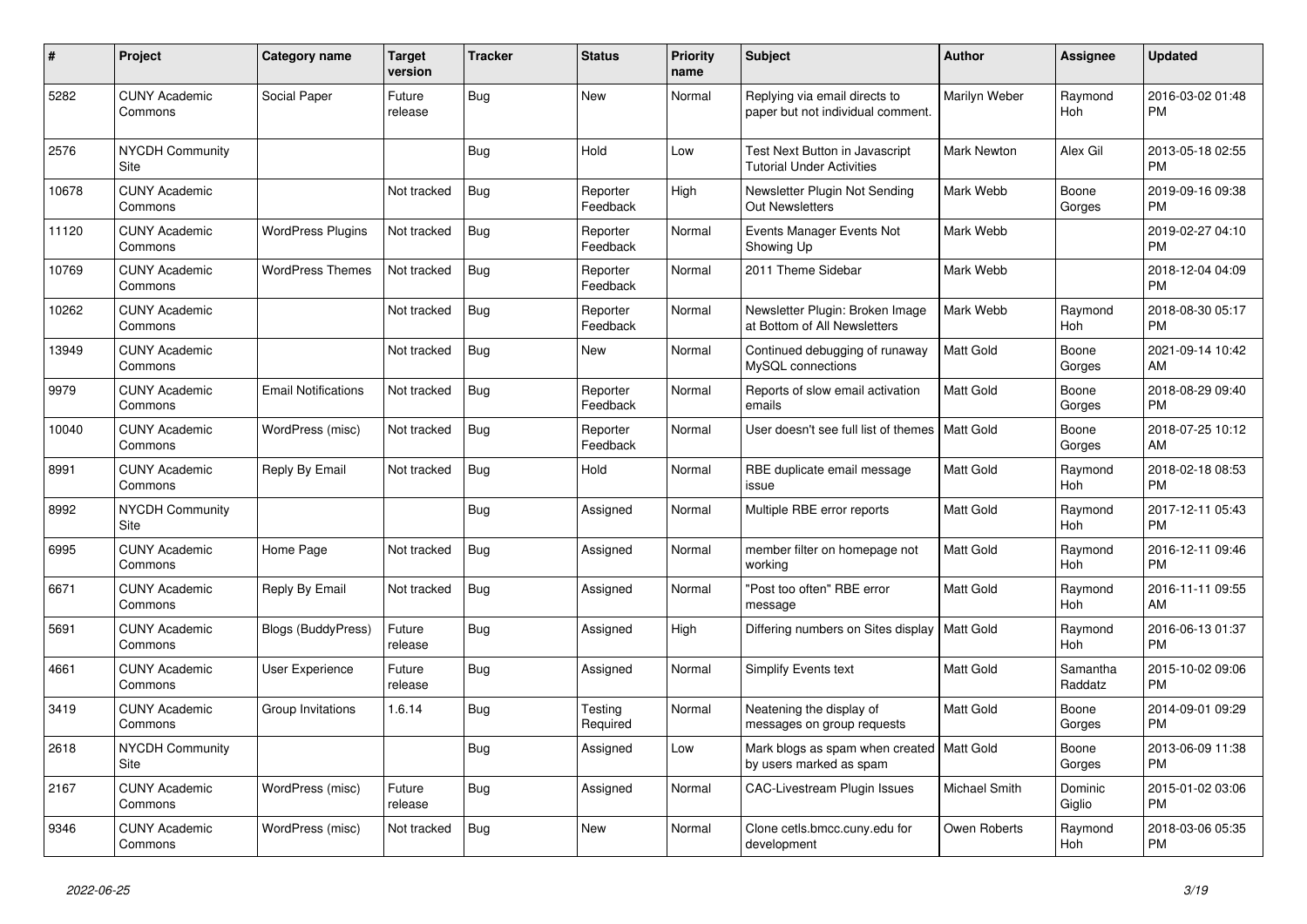| #     | <b>Project</b>                  | <b>Category name</b>       | Target<br>version | Tracker    | <b>Status</b>        | <b>Priority</b><br>name | <b>Subject</b>                                                         | <b>Author</b>    | <b>Assignee</b>       | <b>Updated</b>                |
|-------|---------------------------------|----------------------------|-------------------|------------|----------------------|-------------------------|------------------------------------------------------------------------|------------------|-----------------------|-------------------------------|
| 5282  | <b>CUNY Academic</b><br>Commons | Social Paper               | Future<br>release | Bug        | New                  | Normal                  | Replying via email directs to<br>paper but not individual comment.     | Marilyn Weber    | Raymond<br><b>Hoh</b> | 2016-03-02 01:48<br><b>PM</b> |
| 2576  | <b>NYCDH Community</b><br>Site  |                            |                   | Bug        | Hold                 | Low                     | Test Next Button in Javascript<br><b>Tutorial Under Activities</b>     | Mark Newton      | Alex Gil              | 2013-05-18 02:55<br><b>PM</b> |
| 10678 | <b>CUNY Academic</b><br>Commons |                            | Not tracked       | Bug        | Reporter<br>Feedback | High                    | Newsletter Plugin Not Sending<br><b>Out Newsletters</b>                | Mark Webb        | Boone<br>Gorges       | 2019-09-16 09:38<br><b>PM</b> |
| 11120 | <b>CUNY Academic</b><br>Commons | <b>WordPress Plugins</b>   | Not tracked       | <b>Bug</b> | Reporter<br>Feedback | Normal                  | Events Manager Events Not<br>Showing Up                                | Mark Webb        |                       | 2019-02-27 04:10<br><b>PM</b> |
| 10769 | <b>CUNY Academic</b><br>Commons | <b>WordPress Themes</b>    | Not tracked       | Bug        | Reporter<br>Feedback | Normal                  | 2011 Theme Sidebar                                                     | Mark Webb        |                       | 2018-12-04 04:09<br><b>PM</b> |
| 10262 | <b>CUNY Academic</b><br>Commons |                            | Not tracked       | <b>Bug</b> | Reporter<br>Feedback | Normal                  | Newsletter Plugin: Broken Image<br>at Bottom of All Newsletters        | Mark Webb        | Raymond<br><b>Hoh</b> | 2018-08-30 05:17<br><b>PM</b> |
| 13949 | <b>CUNY Academic</b><br>Commons |                            | Not tracked       | Bug        | <b>New</b>           | Normal                  | Continued debugging of runaway<br>MySQL connections                    | <b>Matt Gold</b> | Boone<br>Gorges       | 2021-09-14 10:42<br>AM        |
| 9979  | <b>CUNY Academic</b><br>Commons | <b>Email Notifications</b> | Not tracked       | <b>Bug</b> | Reporter<br>Feedback | Normal                  | Reports of slow email activation<br>emails                             | <b>Matt Gold</b> | Boone<br>Gorges       | 2018-08-29 09:40<br><b>PM</b> |
| 10040 | <b>CUNY Academic</b><br>Commons | WordPress (misc)           | Not tracked       | <b>Bug</b> | Reporter<br>Feedback | Normal                  | User doesn't see full list of themes   Matt Gold                       |                  | Boone<br>Gorges       | 2018-07-25 10:12<br>AM        |
| 8991  | <b>CUNY Academic</b><br>Commons | Reply By Email             | Not tracked       | <b>Bug</b> | Hold                 | Normal                  | RBE duplicate email message<br>issue                                   | Matt Gold        | Raymond<br>Hoh        | 2018-02-18 08:53<br><b>PM</b> |
| 8992  | <b>NYCDH Community</b><br>Site  |                            |                   | <b>Bug</b> | Assigned             | Normal                  | Multiple RBE error reports                                             | Matt Gold        | Raymond<br><b>Hoh</b> | 2017-12-11 05:43<br><b>PM</b> |
| 6995  | <b>CUNY Academic</b><br>Commons | Home Page                  | Not tracked       | Bug        | Assigned             | Normal                  | member filter on homepage not<br>working                               | <b>Matt Gold</b> | Raymond<br><b>Hoh</b> | 2016-12-11 09:46<br><b>PM</b> |
| 6671  | <b>CUNY Academic</b><br>Commons | Reply By Email             | Not tracked       | <b>Bug</b> | Assigned             | Normal                  | "Post too often" RBE error<br>message                                  | Matt Gold        | Raymond<br>Hoh        | 2016-11-11 09:55<br>AM        |
| 5691  | <b>CUNY Academic</b><br>Commons | Blogs (BuddyPress)         | Future<br>release | <b>Bug</b> | Assigned             | High                    | Differing numbers on Sites display                                     | <b>Matt Gold</b> | Raymond<br>Hoh        | 2016-06-13 01:37<br><b>PM</b> |
| 4661  | <b>CUNY Academic</b><br>Commons | User Experience            | Future<br>release | <b>Bug</b> | Assigned             | Normal                  | Simplify Events text                                                   | Matt Gold        | Samantha<br>Raddatz   | 2015-10-02 09:06<br><b>PM</b> |
| 3419  | <b>CUNY Academic</b><br>Commons | Group Invitations          | 1.6.14            | Bug        | Testing<br>Required  | Normal                  | Neatening the display of<br>messages on group requests                 | <b>Matt Gold</b> | Boone<br>Gorges       | 2014-09-01 09:29<br><b>PM</b> |
| 2618  | <b>NYCDH Community</b><br>Site  |                            |                   | Bug        | Assigned             | Low                     | Mark blogs as spam when created   Matt Gold<br>by users marked as spam |                  | Boone<br>Gorges       | 2013-06-09 11:38<br><b>PM</b> |
| 2167  | <b>CUNY Academic</b><br>Commons | WordPress (misc)           | Future<br>release | <b>Bug</b> | Assigned             | Normal                  | <b>CAC-Livestream Plugin Issues</b>                                    | Michael Smith    | Dominic<br>Giglio     | 2015-01-02 03:06<br><b>PM</b> |
| 9346  | <b>CUNY Academic</b><br>Commons | WordPress (misc)           | Not tracked       | Bug        | <b>New</b>           | Normal                  | Clone cetls.bmcc.cuny.edu for<br>development                           | Owen Roberts     | Raymond<br>Hoh        | 2018-03-06 05:35<br><b>PM</b> |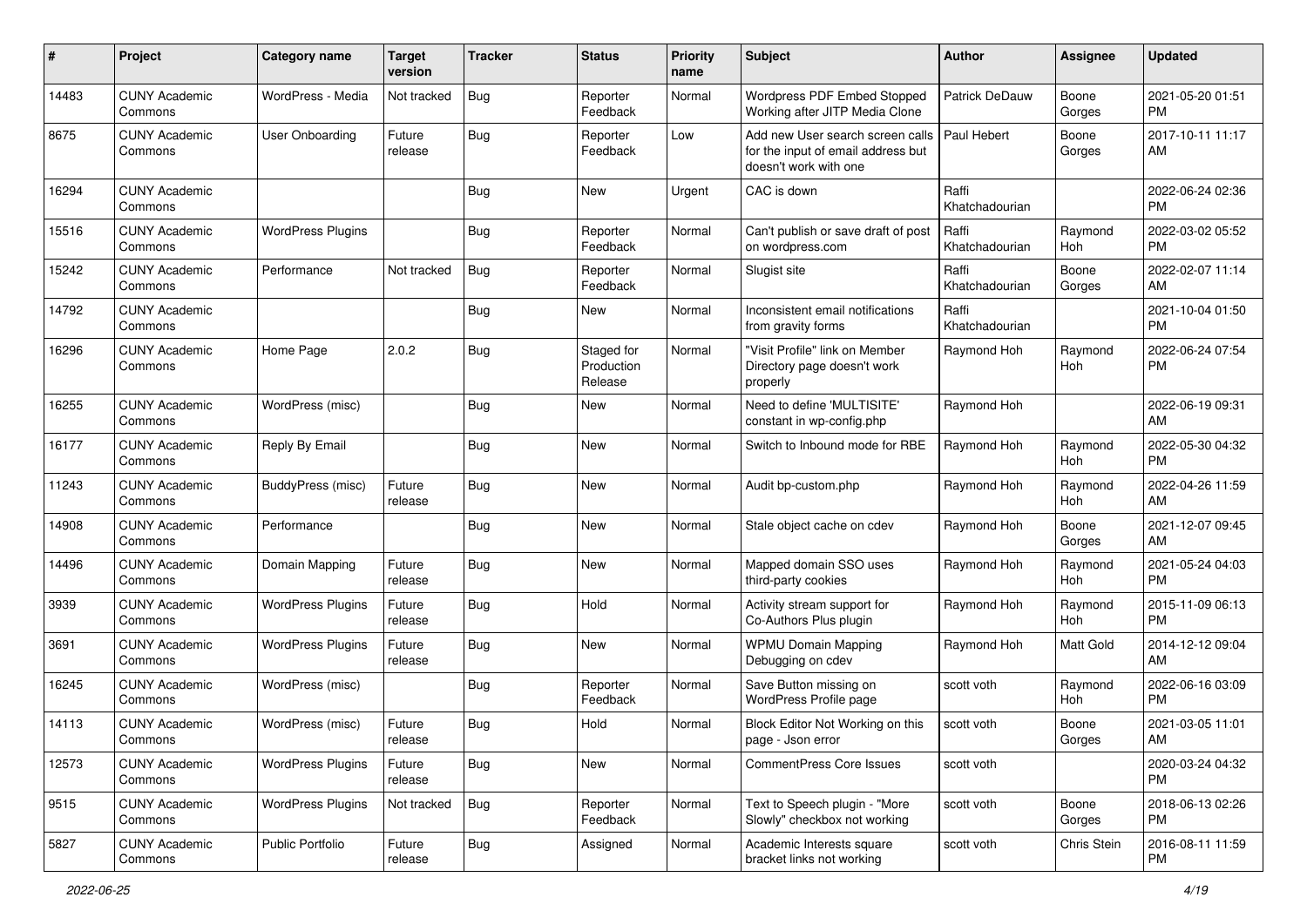| #     | Project                         | <b>Category name</b>     | Target<br>version | <b>Tracker</b> | <b>Status</b>                       | <b>Priority</b><br>name | <b>Subject</b>                                                                                  | <b>Author</b>           | <b>Assignee</b>       | <b>Updated</b>                |
|-------|---------------------------------|--------------------------|-------------------|----------------|-------------------------------------|-------------------------|-------------------------------------------------------------------------------------------------|-------------------------|-----------------------|-------------------------------|
| 14483 | <b>CUNY Academic</b><br>Commons | WordPress - Media        | Not tracked       | <b>Bug</b>     | Reporter<br>Feedback                | Normal                  | Wordpress PDF Embed Stopped<br>Working after JITP Media Clone                                   | <b>Patrick DeDauw</b>   | Boone<br>Gorges       | 2021-05-20 01:51<br><b>PM</b> |
| 8675  | <b>CUNY Academic</b><br>Commons | <b>User Onboarding</b>   | Future<br>release | <b>Bug</b>     | Reporter<br>Feedback                | Low                     | Add new User search screen calls<br>for the input of email address but<br>doesn't work with one | Paul Hebert             | Boone<br>Gorges       | 2017-10-11 11:17<br>AM        |
| 16294 | <b>CUNY Academic</b><br>Commons |                          |                   | Bug            | New                                 | Urgent                  | CAC is down                                                                                     | Raffi<br>Khatchadourian |                       | 2022-06-24 02:36<br><b>PM</b> |
| 15516 | <b>CUNY Academic</b><br>Commons | <b>WordPress Plugins</b> |                   | <b>Bug</b>     | Reporter<br>Feedback                | Normal                  | Can't publish or save draft of post<br>on wordpress.com                                         | Raffi<br>Khatchadourian | Raymond<br>Hoh        | 2022-03-02 05:52<br><b>PM</b> |
| 15242 | <b>CUNY Academic</b><br>Commons | Performance              | Not tracked       | <b>Bug</b>     | Reporter<br>Feedback                | Normal                  | Slugist site                                                                                    | Raffi<br>Khatchadourian | Boone<br>Gorges       | 2022-02-07 11:14<br>AM        |
| 14792 | <b>CUNY Academic</b><br>Commons |                          |                   | <b>Bug</b>     | New                                 | Normal                  | Inconsistent email notifications<br>from gravity forms                                          | Raffi<br>Khatchadourian |                       | 2021-10-04 01:50<br><b>PM</b> |
| 16296 | <b>CUNY Academic</b><br>Commons | Home Page                | 2.0.2             | <b>Bug</b>     | Staged for<br>Production<br>Release | Normal                  | "Visit Profile" link on Member<br>Directory page doesn't work<br>properly                       | Raymond Hoh             | Raymond<br>Hoh        | 2022-06-24 07:54<br><b>PM</b> |
| 16255 | <b>CUNY Academic</b><br>Commons | WordPress (misc)         |                   | <b>Bug</b>     | New                                 | Normal                  | Need to define 'MULTISITE'<br>constant in wp-config.php                                         | Raymond Hoh             |                       | 2022-06-19 09:31<br>AM        |
| 16177 | <b>CUNY Academic</b><br>Commons | Reply By Email           |                   | <b>Bug</b>     | <b>New</b>                          | Normal                  | Switch to Inbound mode for RBE                                                                  | Raymond Hoh             | Raymond<br>Hoh        | 2022-05-30 04:32<br><b>PM</b> |
| 11243 | <b>CUNY Academic</b><br>Commons | BuddyPress (misc)        | Future<br>release | <b>Bug</b>     | <b>New</b>                          | Normal                  | Audit bp-custom.php                                                                             | Raymond Hoh             | Raymond<br>Hoh        | 2022-04-26 11:59<br>AM        |
| 14908 | <b>CUNY Academic</b><br>Commons | Performance              |                   | <b>Bug</b>     | New                                 | Normal                  | Stale object cache on cdev                                                                      | Raymond Hoh             | Boone<br>Gorges       | 2021-12-07 09:45<br>AM        |
| 14496 | <b>CUNY Academic</b><br>Commons | Domain Mapping           | Future<br>release | <b>Bug</b>     | New                                 | Normal                  | Mapped domain SSO uses<br>third-party cookies                                                   | Raymond Hoh             | Raymond<br>Hoh        | 2021-05-24 04:03<br><b>PM</b> |
| 3939  | <b>CUNY Academic</b><br>Commons | <b>WordPress Plugins</b> | Future<br>release | <b>Bug</b>     | Hold                                | Normal                  | Activity stream support for<br>Co-Authors Plus plugin                                           | Raymond Hoh             | Raymond<br><b>Hoh</b> | 2015-11-09 06:13<br><b>PM</b> |
| 3691  | <b>CUNY Academic</b><br>Commons | <b>WordPress Plugins</b> | Future<br>release | Bug            | <b>New</b>                          | Normal                  | <b>WPMU Domain Mapping</b><br>Debugging on cdev                                                 | Raymond Hoh             | Matt Gold             | 2014-12-12 09:04<br>AM        |
| 16245 | <b>CUNY Academic</b><br>Commons | WordPress (misc)         |                   | <b>Bug</b>     | Reporter<br>Feedback                | Normal                  | Save Button missing on<br>WordPress Profile page                                                | scott voth              | Raymond<br>Hoh        | 2022-06-16 03:09<br><b>PM</b> |
| 14113 | <b>CUNY Academic</b><br>Commons | WordPress (misc)         | Future<br>release | <b>Bug</b>     | Hold                                | Normal                  | Block Editor Not Working on this<br>page - Json error                                           | scott voth              | Boone<br>Gorges       | 2021-03-05 11:01<br>AM        |
| 12573 | <b>CUNY Academic</b><br>Commons | <b>WordPress Plugins</b> | Future<br>release | <b>Bug</b>     | New                                 | Normal                  | <b>CommentPress Core Issues</b>                                                                 | scott voth              |                       | 2020-03-24 04:32<br><b>PM</b> |
| 9515  | <b>CUNY Academic</b><br>Commons | <b>WordPress Plugins</b> | Not tracked       | Bug            | Reporter<br>Feedback                | Normal                  | Text to Speech plugin - "More<br>Slowly" checkbox not working                                   | scott voth              | Boone<br>Gorges       | 2018-06-13 02:26<br><b>PM</b> |
| 5827  | <b>CUNY Academic</b><br>Commons | Public Portfolio         | Future<br>release | <b>Bug</b>     | Assigned                            | Normal                  | Academic Interests square<br>bracket links not working                                          | scott voth              | Chris Stein           | 2016-08-11 11:59<br>PM        |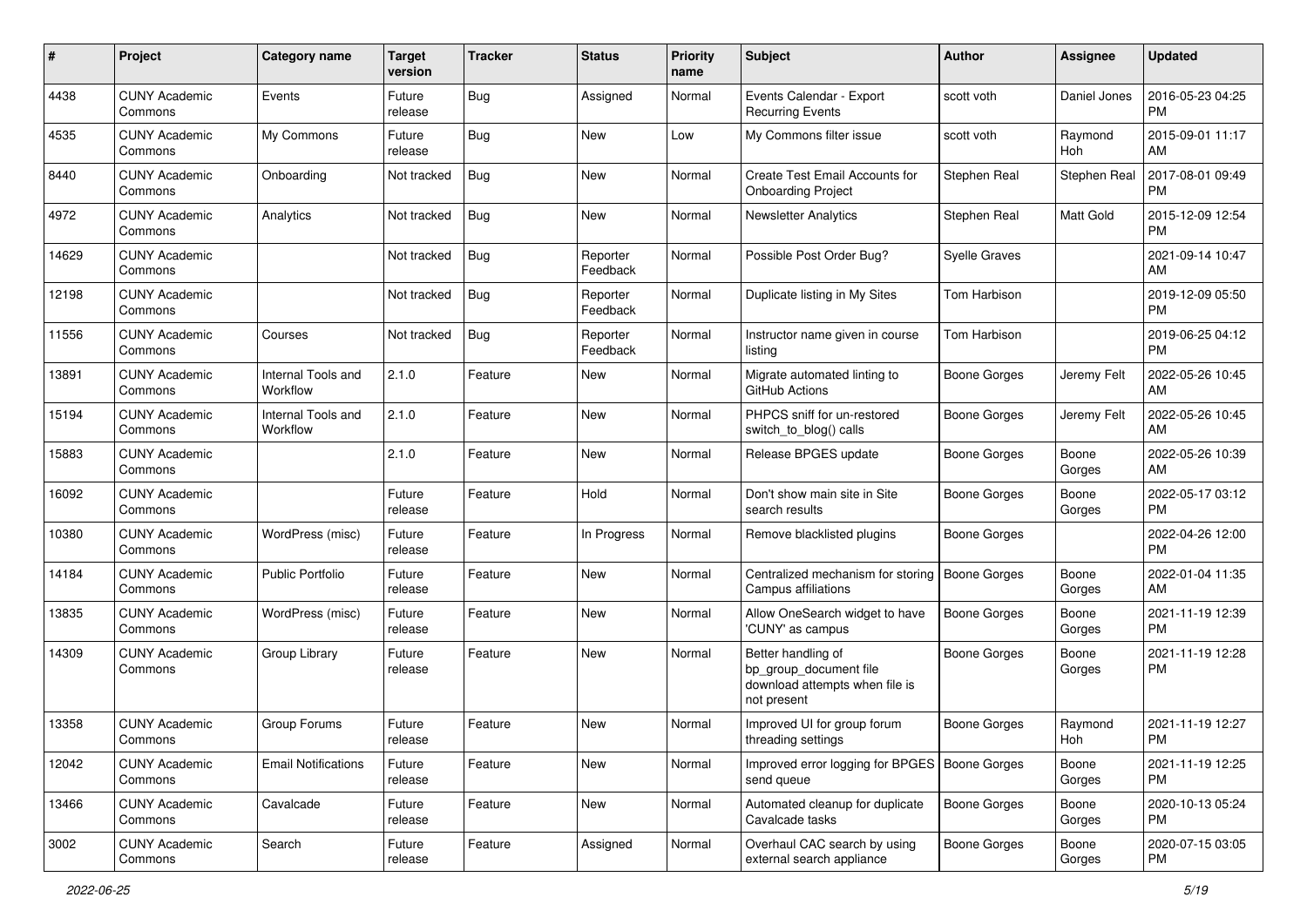| #     | Project                         | <b>Category name</b>           | <b>Target</b><br>version | <b>Tracker</b> | <b>Status</b>        | <b>Priority</b><br>name | <b>Subject</b>                                                                                | Author               | <b>Assignee</b> | <b>Updated</b>                |
|-------|---------------------------------|--------------------------------|--------------------------|----------------|----------------------|-------------------------|-----------------------------------------------------------------------------------------------|----------------------|-----------------|-------------------------------|
| 4438  | <b>CUNY Academic</b><br>Commons | Events                         | Future<br>release        | <b>Bug</b>     | Assigned             | Normal                  | Events Calendar - Export<br><b>Recurring Events</b>                                           | scott voth           | Daniel Jones    | 2016-05-23 04:25<br><b>PM</b> |
| 4535  | <b>CUNY Academic</b><br>Commons | My Commons                     | Future<br>release        | Bug            | <b>New</b>           | Low                     | My Commons filter issue                                                                       | scott voth           | Raymond<br>Hoh  | 2015-09-01 11:17<br>AM        |
| 8440  | <b>CUNY Academic</b><br>Commons | Onboarding                     | Not tracked              | <b>Bug</b>     | <b>New</b>           | Normal                  | Create Test Email Accounts for<br><b>Onboarding Project</b>                                   | Stephen Real         | Stephen Real    | 2017-08-01 09:49<br><b>PM</b> |
| 4972  | <b>CUNY Academic</b><br>Commons | Analytics                      | Not tracked              | <b>Bug</b>     | <b>New</b>           | Normal                  | <b>Newsletter Analytics</b>                                                                   | Stephen Real         | Matt Gold       | 2015-12-09 12:54<br><b>PM</b> |
| 14629 | <b>CUNY Academic</b><br>Commons |                                | Not tracked              | <b>Bug</b>     | Reporter<br>Feedback | Normal                  | Possible Post Order Bug?                                                                      | <b>Syelle Graves</b> |                 | 2021-09-14 10:47<br>AM        |
| 12198 | <b>CUNY Academic</b><br>Commons |                                | Not tracked              | <b>Bug</b>     | Reporter<br>Feedback | Normal                  | Duplicate listing in My Sites                                                                 | Tom Harbison         |                 | 2019-12-09 05:50<br><b>PM</b> |
| 11556 | <b>CUNY Academic</b><br>Commons | Courses                        | Not tracked              | Bug            | Reporter<br>Feedback | Normal                  | Instructor name given in course<br>listing                                                    | Tom Harbison         |                 | 2019-06-25 04:12<br><b>PM</b> |
| 13891 | <b>CUNY Academic</b><br>Commons | Internal Tools and<br>Workflow | 2.1.0                    | Feature        | <b>New</b>           | Normal                  | Migrate automated linting to<br>GitHub Actions                                                | <b>Boone Gorges</b>  | Jeremy Felt     | 2022-05-26 10:45<br>AM        |
| 15194 | <b>CUNY Academic</b><br>Commons | Internal Tools and<br>Workflow | 2.1.0                    | Feature        | <b>New</b>           | Normal                  | PHPCS sniff for un-restored<br>switch_to_blog() calls                                         | <b>Boone Gorges</b>  | Jeremy Felt     | 2022-05-26 10:45<br>AM        |
| 15883 | <b>CUNY Academic</b><br>Commons |                                | 2.1.0                    | Feature        | New                  | Normal                  | Release BPGES update                                                                          | <b>Boone Gorges</b>  | Boone<br>Gorges | 2022-05-26 10:39<br>AM        |
| 16092 | <b>CUNY Academic</b><br>Commons |                                | Future<br>release        | Feature        | Hold                 | Normal                  | Don't show main site in Site<br>search results                                                | Boone Gorges         | Boone<br>Gorges | 2022-05-17 03:12<br><b>PM</b> |
| 10380 | <b>CUNY Academic</b><br>Commons | WordPress (misc)               | Future<br>release        | Feature        | In Progress          | Normal                  | Remove blacklisted plugins                                                                    | <b>Boone Gorges</b>  |                 | 2022-04-26 12:00<br><b>PM</b> |
| 14184 | <b>CUNY Academic</b><br>Commons | <b>Public Portfolio</b>        | Future<br>release        | Feature        | New                  | Normal                  | Centralized mechanism for storing<br>Campus affiliations                                      | <b>Boone Gorges</b>  | Boone<br>Gorges | 2022-01-04 11:35<br>AM        |
| 13835 | <b>CUNY Academic</b><br>Commons | WordPress (misc)               | Future<br>release        | Feature        | New                  | Normal                  | Allow OneSearch widget to have<br>'CUNY' as campus                                            | <b>Boone Gorges</b>  | Boone<br>Gorges | 2021-11-19 12:39<br><b>PM</b> |
| 14309 | <b>CUNY Academic</b><br>Commons | Group Library                  | Future<br>release        | Feature        | <b>New</b>           | Normal                  | Better handling of<br>bp_group_document file<br>download attempts when file is<br>not present | <b>Boone Gorges</b>  | Boone<br>Gorges | 2021-11-19 12:28<br><b>PM</b> |
| 13358 | <b>CUNY Academic</b><br>Commons | Group Forums                   | Future<br>release        | Feature        | <b>New</b>           | Normal                  | Improved UI for group forum<br>threading settings                                             | <b>Boone Gorges</b>  | Raymond<br>Hoh  | 2021-11-19 12:27<br>PM        |
| 12042 | <b>CUNY Academic</b><br>Commons | <b>Email Notifications</b>     | Future<br>release        | Feature        | New                  | Normal                  | Improved error logging for BPGES   Boone Gorges<br>send queue                                 |                      | Boone<br>Gorges | 2021-11-19 12:25<br><b>PM</b> |
| 13466 | <b>CUNY Academic</b><br>Commons | Cavalcade                      | Future<br>release        | Feature        | New                  | Normal                  | Automated cleanup for duplicate<br>Cavalcade tasks                                            | <b>Boone Gorges</b>  | Boone<br>Gorges | 2020-10-13 05:24<br><b>PM</b> |
| 3002  | <b>CUNY Academic</b><br>Commons | Search                         | Future<br>release        | Feature        | Assigned             | Normal                  | Overhaul CAC search by using<br>external search appliance                                     | <b>Boone Gorges</b>  | Boone<br>Gorges | 2020-07-15 03:05<br><b>PM</b> |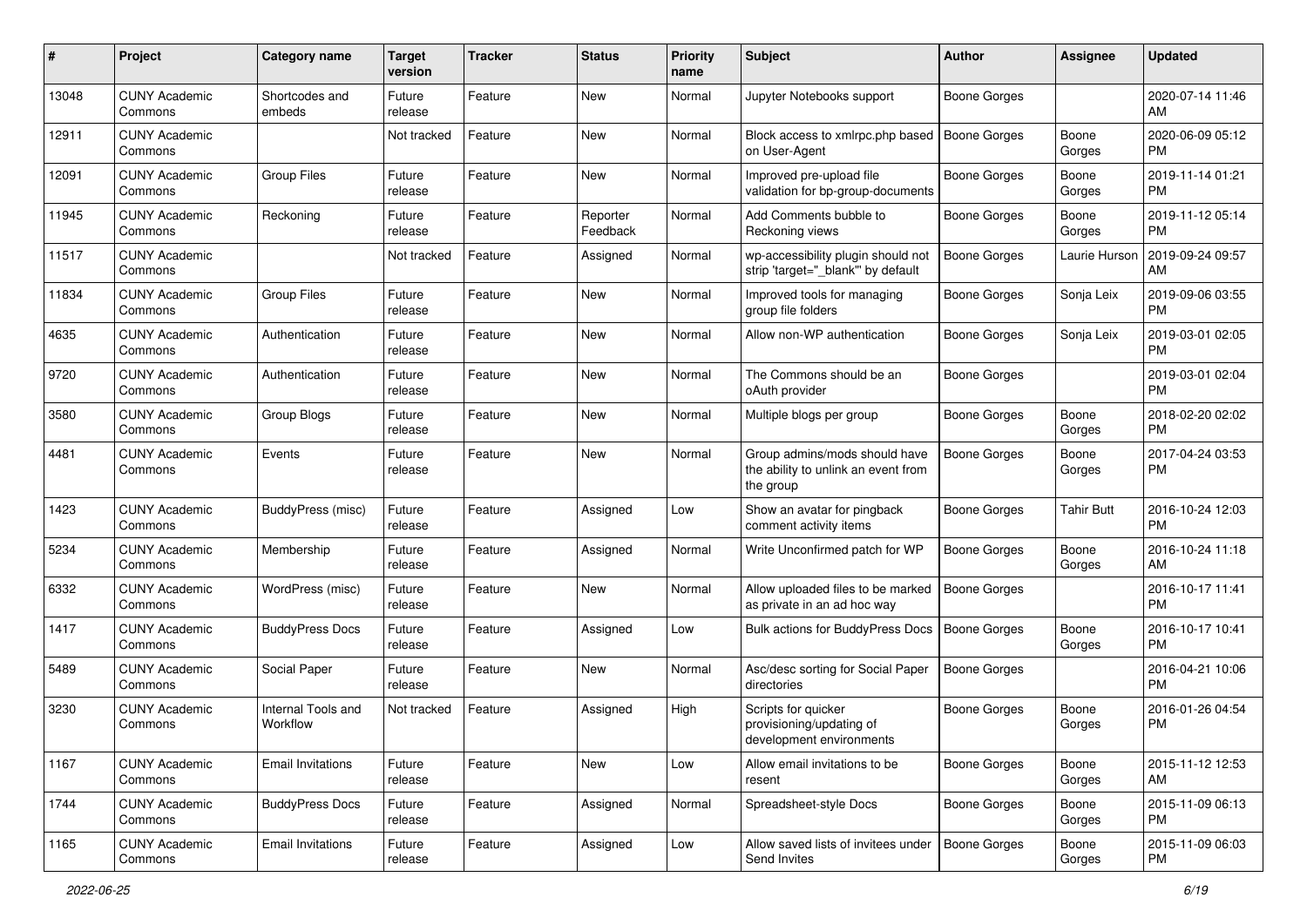| #     | Project                         | <b>Category name</b>           | <b>Target</b><br>version | <b>Tracker</b> | <b>Status</b>        | <b>Priority</b><br>name | <b>Subject</b>                                                                    | Author              | <b>Assignee</b>   | <b>Updated</b>                |
|-------|---------------------------------|--------------------------------|--------------------------|----------------|----------------------|-------------------------|-----------------------------------------------------------------------------------|---------------------|-------------------|-------------------------------|
| 13048 | <b>CUNY Academic</b><br>Commons | Shortcodes and<br>embeds       | Future<br>release        | Feature        | <b>New</b>           | Normal                  | Jupyter Notebooks support                                                         | <b>Boone Gorges</b> |                   | 2020-07-14 11:46<br>AM        |
| 12911 | <b>CUNY Academic</b><br>Commons |                                | Not tracked              | Feature        | <b>New</b>           | Normal                  | Block access to xmlrpc.php based<br>on User-Agent                                 | <b>Boone Gorges</b> | Boone<br>Gorges   | 2020-06-09 05:12<br><b>PM</b> |
| 12091 | <b>CUNY Academic</b><br>Commons | <b>Group Files</b>             | Future<br>release        | Feature        | New                  | Normal                  | Improved pre-upload file<br>validation for bp-group-documents                     | <b>Boone Gorges</b> | Boone<br>Gorges   | 2019-11-14 01:21<br><b>PM</b> |
| 11945 | <b>CUNY Academic</b><br>Commons | Reckoning                      | Future<br>release        | Feature        | Reporter<br>Feedback | Normal                  | Add Comments bubble to<br>Reckoning views                                         | Boone Gorges        | Boone<br>Gorges   | 2019-11-12 05:14<br><b>PM</b> |
| 11517 | <b>CUNY Academic</b><br>Commons |                                | Not tracked              | Feature        | Assigned             | Normal                  | wp-accessibility plugin should not<br>strip 'target="_blank" by default           | <b>Boone Gorges</b> | Laurie Hurson     | 2019-09-24 09:57<br>AM        |
| 11834 | <b>CUNY Academic</b><br>Commons | <b>Group Files</b>             | Future<br>release        | Feature        | New                  | Normal                  | Improved tools for managing<br>group file folders                                 | <b>Boone Gorges</b> | Sonja Leix        | 2019-09-06 03:55<br><b>PM</b> |
| 4635  | <b>CUNY Academic</b><br>Commons | Authentication                 | Future<br>release        | Feature        | New                  | Normal                  | Allow non-WP authentication                                                       | <b>Boone Gorges</b> | Sonja Leix        | 2019-03-01 02:05<br><b>PM</b> |
| 9720  | <b>CUNY Academic</b><br>Commons | Authentication                 | Future<br>release        | Feature        | <b>New</b>           | Normal                  | The Commons should be an<br>oAuth provider                                        | <b>Boone Gorges</b> |                   | 2019-03-01 02:04<br><b>PM</b> |
| 3580  | <b>CUNY Academic</b><br>Commons | Group Blogs                    | Future<br>release        | Feature        | <b>New</b>           | Normal                  | Multiple blogs per group                                                          | <b>Boone Gorges</b> | Boone<br>Gorges   | 2018-02-20 02:02<br><b>PM</b> |
| 4481  | <b>CUNY Academic</b><br>Commons | Events                         | Future<br>release        | Feature        | <b>New</b>           | Normal                  | Group admins/mods should have<br>the ability to unlink an event from<br>the group | <b>Boone Gorges</b> | Boone<br>Gorges   | 2017-04-24 03:53<br><b>PM</b> |
| 1423  | <b>CUNY Academic</b><br>Commons | BuddyPress (misc)              | Future<br>release        | Feature        | Assigned             | Low                     | Show an avatar for pingback<br>comment activity items                             | <b>Boone Gorges</b> | <b>Tahir Butt</b> | 2016-10-24 12:03<br><b>PM</b> |
| 5234  | <b>CUNY Academic</b><br>Commons | Membership                     | Future<br>release        | Feature        | Assigned             | Normal                  | Write Unconfirmed patch for WP                                                    | Boone Gorges        | Boone<br>Gorges   | 2016-10-24 11:18<br>AM        |
| 6332  | <b>CUNY Academic</b><br>Commons | WordPress (misc)               | Future<br>release        | Feature        | <b>New</b>           | Normal                  | Allow uploaded files to be marked<br>as private in an ad hoc way                  | <b>Boone Gorges</b> |                   | 2016-10-17 11:41<br><b>PM</b> |
| 1417  | <b>CUNY Academic</b><br>Commons | <b>BuddyPress Docs</b>         | Future<br>release        | Feature        | Assigned             | Low                     | Bulk actions for BuddyPress Docs                                                  | <b>Boone Gorges</b> | Boone<br>Gorges   | 2016-10-17 10:41<br><b>PM</b> |
| 5489  | <b>CUNY Academic</b><br>Commons | Social Paper                   | Future<br>release        | Feature        | New                  | Normal                  | Asc/desc sorting for Social Paper<br>directories                                  | <b>Boone Gorges</b> |                   | 2016-04-21 10:06<br><b>PM</b> |
| 3230  | <b>CUNY Academic</b><br>Commons | Internal Tools and<br>Workflow | Not tracked              | Feature        | Assigned             | High                    | Scripts for quicker<br>provisioning/updating of<br>development environments       | <b>Boone Gorges</b> | Boone<br>Gorges   | 2016-01-26 04:54<br><b>PM</b> |
| 1167  | <b>CUNY Academic</b><br>Commons | <b>Email Invitations</b>       | Future<br>release        | Feature        | New                  | Low                     | Allow email invitations to be<br>resent                                           | Boone Gorges        | Boone<br>Gorges   | 2015-11-12 12:53<br>AM        |
| 1744  | <b>CUNY Academic</b><br>Commons | <b>BuddyPress Docs</b>         | Future<br>release        | Feature        | Assigned             | Normal                  | Spreadsheet-style Docs                                                            | Boone Gorges        | Boone<br>Gorges   | 2015-11-09 06:13<br><b>PM</b> |
| 1165  | <b>CUNY Academic</b><br>Commons | <b>Email Invitations</b>       | Future<br>release        | Feature        | Assigned             | Low                     | Allow saved lists of invitees under<br>Send Invites                               | <b>Boone Gorges</b> | Boone<br>Gorges   | 2015-11-09 06:03<br>PM        |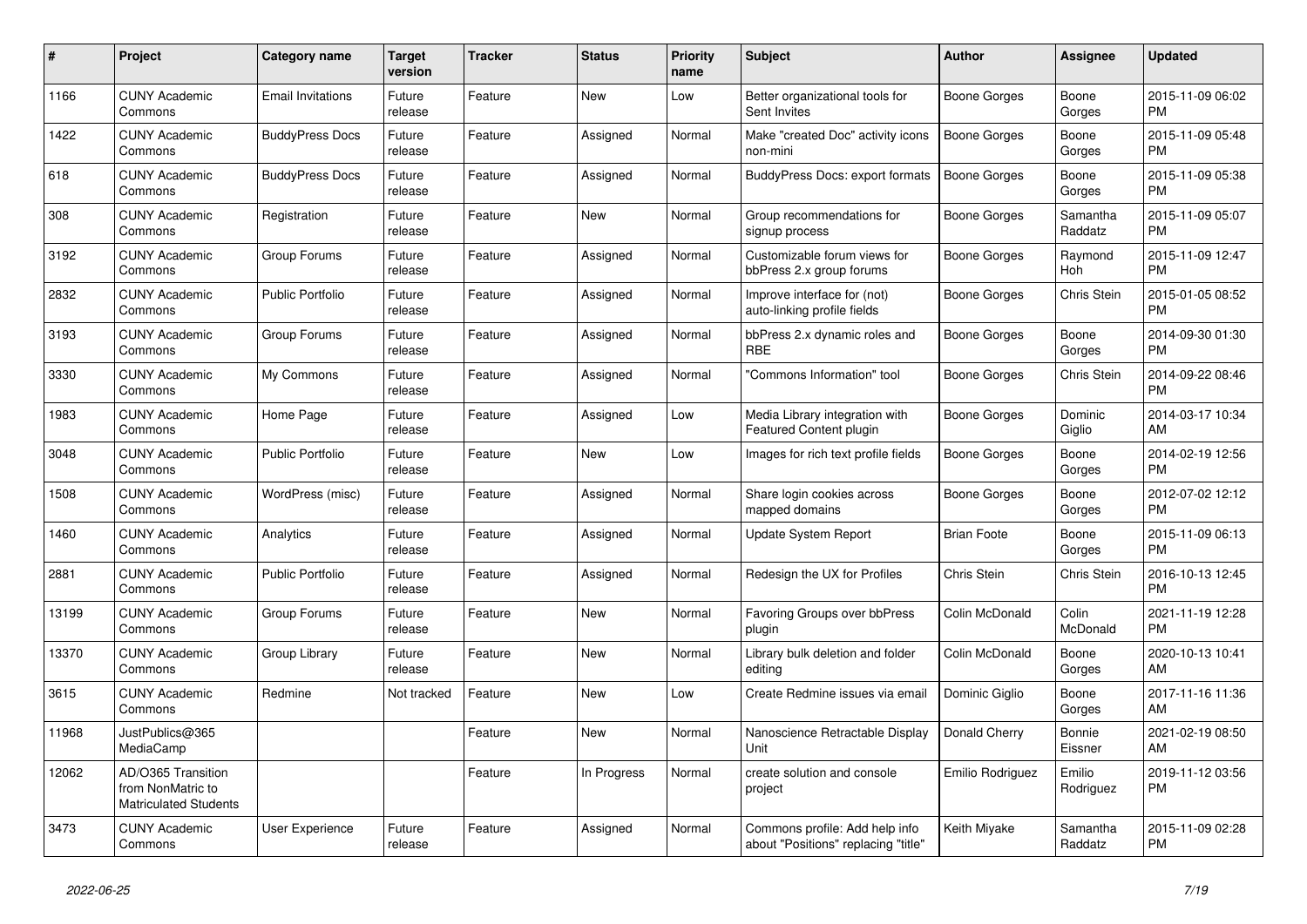| $\#$  | <b>Project</b>                                                          | Category name            | <b>Target</b><br>version | <b>Tracker</b> | <b>Status</b> | <b>Priority</b><br>name | <b>Subject</b>                                                        | Author              | <b>Assignee</b>     | <b>Updated</b>                |
|-------|-------------------------------------------------------------------------|--------------------------|--------------------------|----------------|---------------|-------------------------|-----------------------------------------------------------------------|---------------------|---------------------|-------------------------------|
| 1166  | <b>CUNY Academic</b><br>Commons                                         | <b>Email Invitations</b> | Future<br>release        | Feature        | New           | Low                     | Better organizational tools for<br>Sent Invites                       | Boone Gorges        | Boone<br>Gorges     | 2015-11-09 06:02<br><b>PM</b> |
| 1422  | <b>CUNY Academic</b><br>Commons                                         | <b>BuddyPress Docs</b>   | Future<br>release        | Feature        | Assigned      | Normal                  | Make "created Doc" activity icons<br>non-mini                         | <b>Boone Gorges</b> | Boone<br>Gorges     | 2015-11-09 05:48<br><b>PM</b> |
| 618   | <b>CUNY Academic</b><br>Commons                                         | <b>BuddyPress Docs</b>   | Future<br>release        | Feature        | Assigned      | Normal                  | BuddyPress Docs: export formats                                       | Boone Gorges        | Boone<br>Gorges     | 2015-11-09 05:38<br><b>PM</b> |
| 308   | <b>CUNY Academic</b><br>Commons                                         | Registration             | Future<br>release        | Feature        | <b>New</b>    | Normal                  | Group recommendations for<br>signup process                           | <b>Boone Gorges</b> | Samantha<br>Raddatz | 2015-11-09 05:07<br><b>PM</b> |
| 3192  | <b>CUNY Academic</b><br>Commons                                         | Group Forums             | Future<br>release        | Feature        | Assigned      | Normal                  | Customizable forum views for<br>bbPress 2.x group forums              | Boone Gorges        | Raymond<br>Hoh      | 2015-11-09 12:47<br><b>PM</b> |
| 2832  | <b>CUNY Academic</b><br>Commons                                         | <b>Public Portfolio</b>  | Future<br>release        | Feature        | Assigned      | Normal                  | Improve interface for (not)<br>auto-linking profile fields            | <b>Boone Gorges</b> | Chris Stein         | 2015-01-05 08:52<br><b>PM</b> |
| 3193  | <b>CUNY Academic</b><br>Commons                                         | Group Forums             | Future<br>release        | Feature        | Assigned      | Normal                  | bbPress 2.x dynamic roles and<br><b>RBE</b>                           | <b>Boone Gorges</b> | Boone<br>Gorges     | 2014-09-30 01:30<br><b>PM</b> |
| 3330  | <b>CUNY Academic</b><br>Commons                                         | My Commons               | Future<br>release        | Feature        | Assigned      | Normal                  | 'Commons Information" tool                                            | Boone Gorges        | Chris Stein         | 2014-09-22 08:46<br><b>PM</b> |
| 1983  | <b>CUNY Academic</b><br>Commons                                         | Home Page                | Future<br>release        | Feature        | Assigned      | Low                     | Media Library integration with<br><b>Featured Content plugin</b>      | Boone Gorges        | Dominic<br>Giglio   | 2014-03-17 10:34<br>AM        |
| 3048  | <b>CUNY Academic</b><br>Commons                                         | <b>Public Portfolio</b>  | Future<br>release        | Feature        | <b>New</b>    | Low                     | Images for rich text profile fields                                   | <b>Boone Gorges</b> | Boone<br>Gorges     | 2014-02-19 12:56<br><b>PM</b> |
| 1508  | <b>CUNY Academic</b><br>Commons                                         | WordPress (misc)         | Future<br>release        | Feature        | Assigned      | Normal                  | Share login cookies across<br>mapped domains                          | Boone Gorges        | Boone<br>Gorges     | 2012-07-02 12:12<br><b>PM</b> |
| 1460  | <b>CUNY Academic</b><br>Commons                                         | Analytics                | Future<br>release        | Feature        | Assigned      | Normal                  | Update System Report                                                  | <b>Brian Foote</b>  | Boone<br>Gorges     | 2015-11-09 06:13<br><b>PM</b> |
| 2881  | <b>CUNY Academic</b><br>Commons                                         | <b>Public Portfolio</b>  | Future<br>release        | Feature        | Assigned      | Normal                  | Redesign the UX for Profiles                                          | <b>Chris Stein</b>  | Chris Stein         | 2016-10-13 12:45<br><b>PM</b> |
| 13199 | <b>CUNY Academic</b><br>Commons                                         | Group Forums             | Future<br>release        | Feature        | New           | Normal                  | Favoring Groups over bbPress<br>plugin                                | Colin McDonald      | Colin<br>McDonald   | 2021-11-19 12:28<br><b>PM</b> |
| 13370 | <b>CUNY Academic</b><br>Commons                                         | Group Library            | Future<br>release        | Feature        | <b>New</b>    | Normal                  | Library bulk deletion and folder<br>editing                           | Colin McDonald      | Boone<br>Gorges     | 2020-10-13 10:41<br>AM        |
| 3615  | <b>CUNY Academic</b><br>Commons                                         | Redmine                  | Not tracked              | Feature        | <b>New</b>    | Low                     | Create Redmine issues via email                                       | Dominic Giglio      | Boone<br>Gorges     | 2017-11-16 11:36<br>AM        |
| 11968 | JustPublics@365<br>MediaCamp                                            |                          |                          | Feature        | New           | Normal                  | Nanoscience Retractable Display<br>Unit                               | Donald Cherry       | Bonnie<br>Eissner   | 2021-02-19 08:50<br>AM        |
| 12062 | AD/O365 Transition<br>from NonMatric to<br><b>Matriculated Students</b> |                          |                          | Feature        | In Progress   | Normal                  | create solution and console<br>project                                | Emilio Rodriguez    | Emilio<br>Rodriguez | 2019-11-12 03:56<br><b>PM</b> |
| 3473  | <b>CUNY Academic</b><br>Commons                                         | User Experience          | Future<br>release        | Feature        | Assigned      | Normal                  | Commons profile: Add help info<br>about "Positions" replacing "title" | Keith Miyake        | Samantha<br>Raddatz | 2015-11-09 02:28<br><b>PM</b> |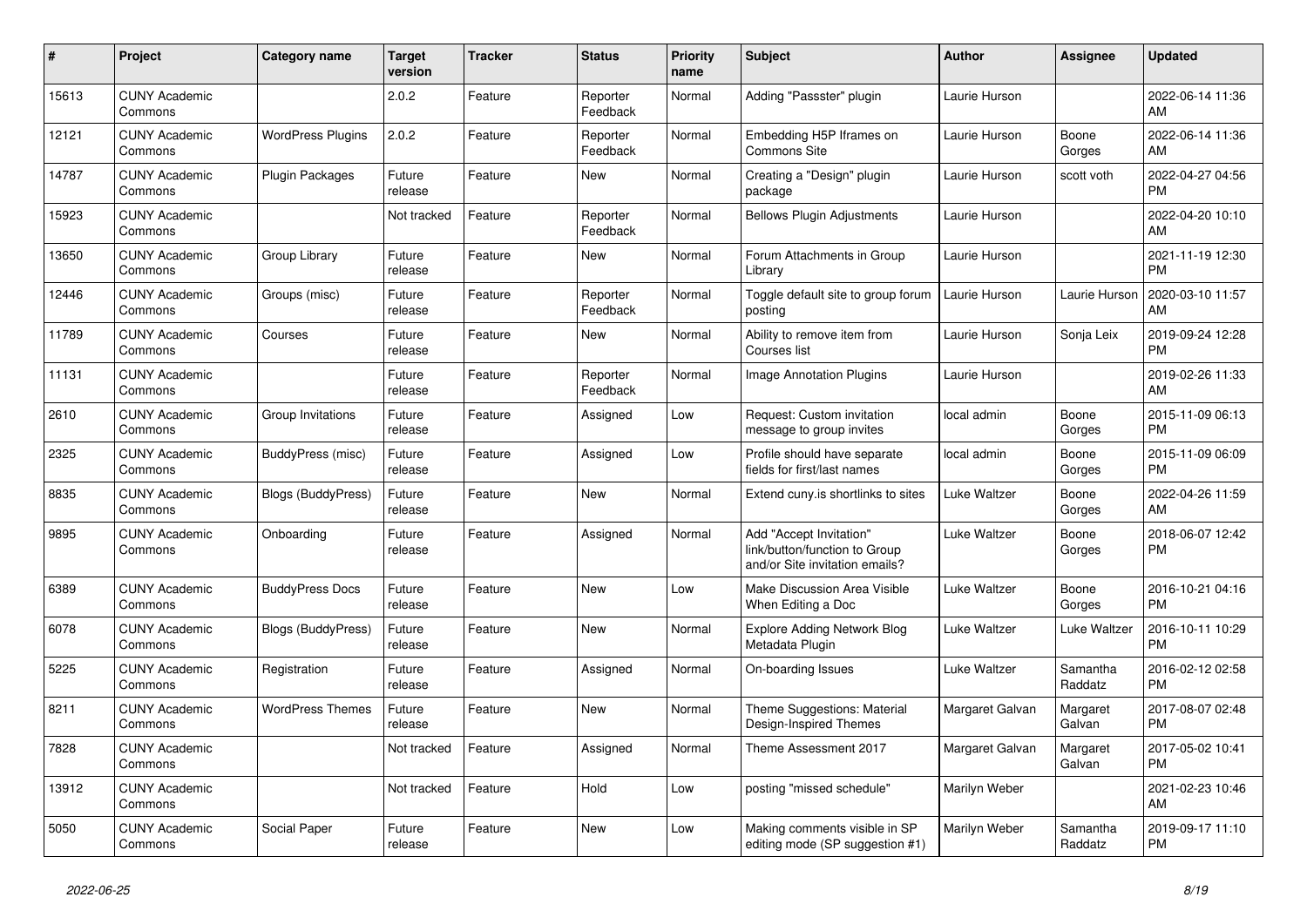| #     | <b>Project</b>                  | <b>Category name</b>      | <b>Target</b><br>version | Tracker | <b>Status</b>        | <b>Priority</b><br>name | <b>Subject</b>                                                                             | <b>Author</b>       | Assignee            | <b>Updated</b>                |
|-------|---------------------------------|---------------------------|--------------------------|---------|----------------------|-------------------------|--------------------------------------------------------------------------------------------|---------------------|---------------------|-------------------------------|
| 15613 | <b>CUNY Academic</b><br>Commons |                           | 2.0.2                    | Feature | Reporter<br>Feedback | Normal                  | Adding "Passster" plugin                                                                   | Laurie Hurson       |                     | 2022-06-14 11:36<br>AM        |
| 12121 | <b>CUNY Academic</b><br>Commons | <b>WordPress Plugins</b>  | 2.0.2                    | Feature | Reporter<br>Feedback | Normal                  | Embedding H5P Iframes on<br>Commons Site                                                   | Laurie Hurson       | Boone<br>Gorges     | 2022-06-14 11:36<br>AM        |
| 14787 | <b>CUNY Academic</b><br>Commons | <b>Plugin Packages</b>    | Future<br>release        | Feature | New                  | Normal                  | Creating a "Design" plugin<br>package                                                      | Laurie Hurson       | scott voth          | 2022-04-27 04:56<br><b>PM</b> |
| 15923 | <b>CUNY Academic</b><br>Commons |                           | Not tracked              | Feature | Reporter<br>Feedback | Normal                  | <b>Bellows Plugin Adjustments</b>                                                          | Laurie Hurson       |                     | 2022-04-20 10:10<br>AM        |
| 13650 | <b>CUNY Academic</b><br>Commons | Group Library             | Future<br>release        | Feature | New                  | Normal                  | Forum Attachments in Group<br>Library                                                      | Laurie Hurson       |                     | 2021-11-19 12:30<br><b>PM</b> |
| 12446 | <b>CUNY Academic</b><br>Commons | Groups (misc)             | Future<br>release        | Feature | Reporter<br>Feedback | Normal                  | Toggle default site to group forum<br>posting                                              | Laurie Hurson       | Laurie Hurson       | 2020-03-10 11:57<br>AM        |
| 11789 | <b>CUNY Academic</b><br>Commons | Courses                   | Future<br>release        | Feature | <b>New</b>           | Normal                  | Ability to remove item from<br>Courses list                                                | Laurie Hurson       | Sonja Leix          | 2019-09-24 12:28<br><b>PM</b> |
| 11131 | <b>CUNY Academic</b><br>Commons |                           | Future<br>release        | Feature | Reporter<br>Feedback | Normal                  | Image Annotation Plugins                                                                   | Laurie Hurson       |                     | 2019-02-26 11:33<br>AM        |
| 2610  | <b>CUNY Academic</b><br>Commons | Group Invitations         | Future<br>release        | Feature | Assigned             | Low                     | Request: Custom invitation<br>message to group invites                                     | local admin         | Boone<br>Gorges     | 2015-11-09 06:13<br><b>PM</b> |
| 2325  | <b>CUNY Academic</b><br>Commons | BuddyPress (misc)         | Future<br>release        | Feature | Assigned             | Low                     | Profile should have separate<br>fields for first/last names                                | local admin         | Boone<br>Gorges     | 2015-11-09 06:09<br><b>PM</b> |
| 8835  | <b>CUNY Academic</b><br>Commons | <b>Blogs (BuddyPress)</b> | Future<br>release        | Feature | <b>New</b>           | Normal                  | Extend cuny.is shortlinks to sites                                                         | <b>Luke Waltzer</b> | Boone<br>Gorges     | 2022-04-26 11:59<br>AM        |
| 9895  | <b>CUNY Academic</b><br>Commons | Onboarding                | Future<br>release        | Feature | Assigned             | Normal                  | Add "Accept Invitation"<br>link/button/function to Group<br>and/or Site invitation emails? | Luke Waltzer        | Boone<br>Gorges     | 2018-06-07 12:42<br><b>PM</b> |
| 6389  | <b>CUNY Academic</b><br>Commons | <b>BuddyPress Docs</b>    | Future<br>release        | Feature | <b>New</b>           | Low                     | Make Discussion Area Visible<br>When Editing a Doc                                         | <b>Luke Waltzer</b> | Boone<br>Gorges     | 2016-10-21 04:16<br><b>PM</b> |
| 6078  | <b>CUNY Academic</b><br>Commons | <b>Blogs (BuddyPress)</b> | Future<br>release        | Feature | <b>New</b>           | Normal                  | <b>Explore Adding Network Blog</b><br>Metadata Plugin                                      | <b>Luke Waltzer</b> | Luke Waltzer        | 2016-10-11 10:29<br><b>PM</b> |
| 5225  | <b>CUNY Academic</b><br>Commons | Registration              | Future<br>release        | Feature | Assigned             | Normal                  | On-boarding Issues                                                                         | Luke Waltzer        | Samantha<br>Raddatz | 2016-02-12 02:58<br><b>PM</b> |
| 8211  | <b>CUNY Academic</b><br>Commons | <b>WordPress Themes</b>   | Future<br>release        | Feature | <b>New</b>           | Normal                  | Theme Suggestions: Material<br>Design-Inspired Themes                                      | Margaret Galvan     | Margaret<br>Galvan  | 2017-08-07 02:48<br><b>PM</b> |
| 7828  | <b>CUNY Academic</b><br>Commons |                           | Not tracked              | Feature | Assigned             | Normal                  | Theme Assessment 2017                                                                      | Margaret Galvan     | Margaret<br>Galvan  | 2017-05-02 10:41<br><b>PM</b> |
| 13912 | <b>CUNY Academic</b><br>Commons |                           | Not tracked              | Feature | Hold                 | Low                     | posting "missed schedule"                                                                  | Marilyn Weber       |                     | 2021-02-23 10:46<br>AM        |
| 5050  | <b>CUNY Academic</b><br>Commons | Social Paper              | Future<br>release        | Feature | <b>New</b>           | Low                     | Making comments visible in SP<br>editing mode (SP suggestion #1)                           | Marilyn Weber       | Samantha<br>Raddatz | 2019-09-17 11:10<br><b>PM</b> |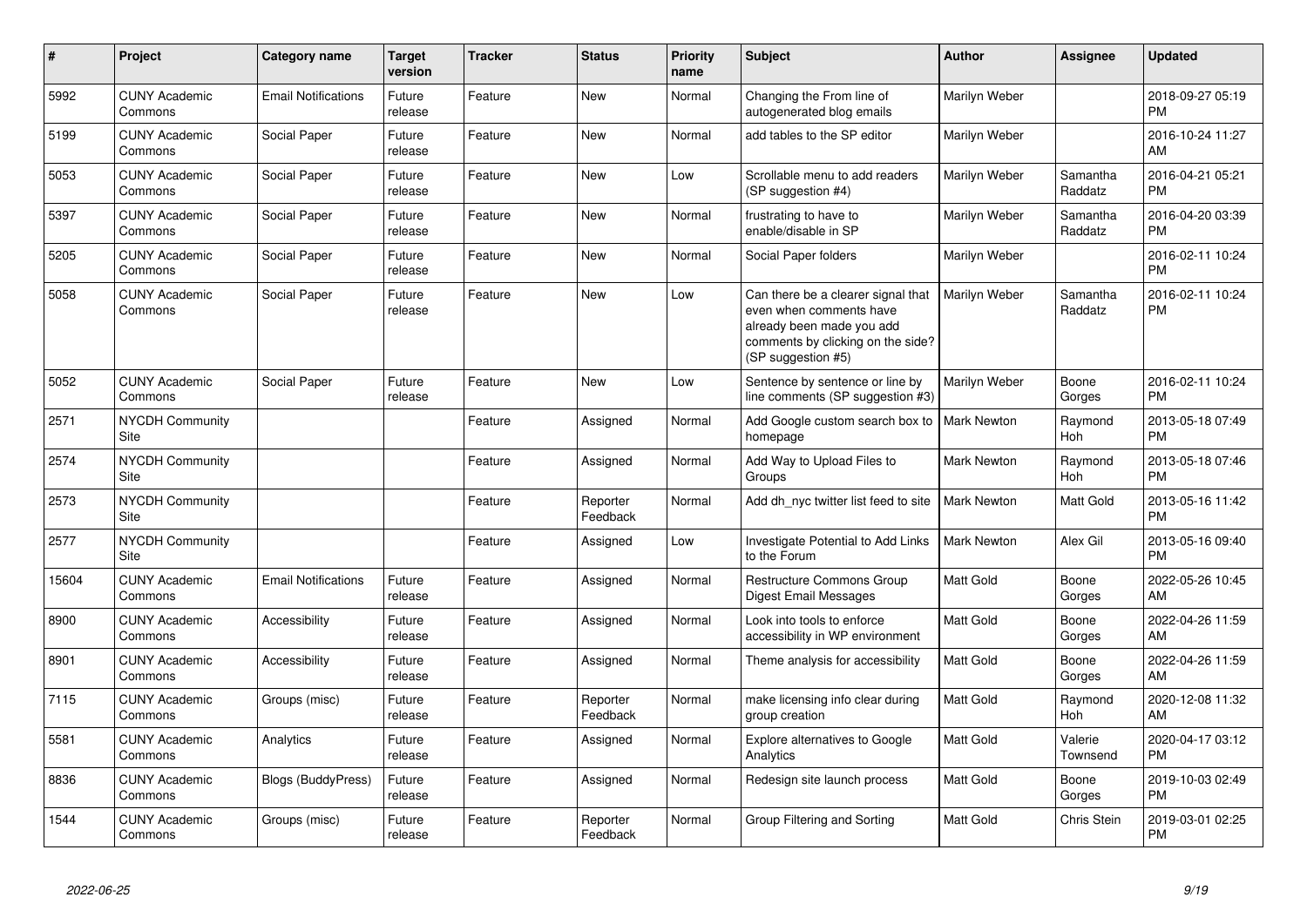| #     | Project                         | <b>Category name</b>       | Target<br>version | <b>Tracker</b> | <b>Status</b>        | <b>Priority</b><br>name | <b>Subject</b>                                                                                                                                        | <b>Author</b>      | <b>Assignee</b>       | <b>Updated</b>                |
|-------|---------------------------------|----------------------------|-------------------|----------------|----------------------|-------------------------|-------------------------------------------------------------------------------------------------------------------------------------------------------|--------------------|-----------------------|-------------------------------|
| 5992  | <b>CUNY Academic</b><br>Commons | <b>Email Notifications</b> | Future<br>release | Feature        | <b>New</b>           | Normal                  | Changing the From line of<br>autogenerated blog emails                                                                                                | Marilyn Weber      |                       | 2018-09-27 05:19<br><b>PM</b> |
| 5199  | <b>CUNY Academic</b><br>Commons | Social Paper               | Future<br>release | Feature        | <b>New</b>           | Normal                  | add tables to the SP editor                                                                                                                           | Marilyn Weber      |                       | 2016-10-24 11:27<br>AM        |
| 5053  | <b>CUNY Academic</b><br>Commons | Social Paper               | Future<br>release | Feature        | New                  | Low                     | Scrollable menu to add readers<br>(SP suggestion #4)                                                                                                  | Marilyn Weber      | Samantha<br>Raddatz   | 2016-04-21 05:21<br><b>PM</b> |
| 5397  | <b>CUNY Academic</b><br>Commons | Social Paper               | Future<br>release | Feature        | New                  | Normal                  | frustrating to have to<br>enable/disable in SP                                                                                                        | Marilyn Weber      | Samantha<br>Raddatz   | 2016-04-20 03:39<br><b>PM</b> |
| 5205  | <b>CUNY Academic</b><br>Commons | Social Paper               | Future<br>release | Feature        | <b>New</b>           | Normal                  | Social Paper folders                                                                                                                                  | Marilyn Weber      |                       | 2016-02-11 10:24<br><b>PM</b> |
| 5058  | <b>CUNY Academic</b><br>Commons | Social Paper               | Future<br>release | Feature        | <b>New</b>           | Low                     | Can there be a clearer signal that<br>even when comments have<br>already been made you add<br>comments by clicking on the side?<br>(SP suggestion #5) | Marilyn Weber      | Samantha<br>Raddatz   | 2016-02-11 10:24<br><b>PM</b> |
| 5052  | <b>CUNY Academic</b><br>Commons | Social Paper               | Future<br>release | Feature        | <b>New</b>           | Low                     | Sentence by sentence or line by<br>line comments (SP suggestion #3)                                                                                   | Marilyn Weber      | Boone<br>Gorges       | 2016-02-11 10:24<br><b>PM</b> |
| 2571  | <b>NYCDH Community</b><br>Site  |                            |                   | Feature        | Assigned             | Normal                  | Add Google custom search box to  <br>homepage                                                                                                         | <b>Mark Newton</b> | Raymond<br>Hoh        | 2013-05-18 07:49<br><b>PM</b> |
| 2574  | <b>NYCDH Community</b><br>Site  |                            |                   | Feature        | Assigned             | Normal                  | Add Way to Upload Files to<br>Groups                                                                                                                  | Mark Newton        | Raymond<br><b>Hoh</b> | 2013-05-18 07:46<br><b>PM</b> |
| 2573  | <b>NYCDH Community</b><br>Site  |                            |                   | Feature        | Reporter<br>Feedback | Normal                  | Add dh nyc twitter list feed to site                                                                                                                  | <b>Mark Newton</b> | Matt Gold             | 2013-05-16 11:42<br><b>PM</b> |
| 2577  | <b>NYCDH Community</b><br>Site  |                            |                   | Feature        | Assigned             | Low                     | Investigate Potential to Add Links<br>to the Forum                                                                                                    | Mark Newton        | Alex Gil              | 2013-05-16 09:40<br><b>PM</b> |
| 15604 | <b>CUNY Academic</b><br>Commons | <b>Email Notifications</b> | Future<br>release | Feature        | Assigned             | Normal                  | Restructure Commons Group<br>Digest Email Messages                                                                                                    | Matt Gold          | Boone<br>Gorges       | 2022-05-26 10:45<br>AM        |
| 8900  | <b>CUNY Academic</b><br>Commons | Accessibility              | Future<br>release | Feature        | Assigned             | Normal                  | Look into tools to enforce<br>accessibility in WP environment                                                                                         | <b>Matt Gold</b>   | Boone<br>Gorges       | 2022-04-26 11:59<br>AM        |
| 8901  | <b>CUNY Academic</b><br>Commons | Accessibility              | Future<br>release | Feature        | Assigned             | Normal                  | Theme analysis for accessibility                                                                                                                      | <b>Matt Gold</b>   | Boone<br>Gorges       | 2022-04-26 11:59<br>AM        |
| 7115  | <b>CUNY Academic</b><br>Commons | Groups (misc)              | Future<br>release | Feature        | Reporter<br>Feedback | Normal                  | make licensing info clear during<br>group creation                                                                                                    | <b>Matt Gold</b>   | Raymond<br>Hoh        | 2020-12-08 11:32<br>AM        |
| 5581  | <b>CUNY Academic</b><br>Commons | Analytics                  | Future<br>release | Feature        | Assigned             | Normal                  | Explore alternatives to Google<br>Analytics                                                                                                           | Matt Gold          | Valerie<br>Townsend   | 2020-04-17 03:12<br><b>PM</b> |
| 8836  | <b>CUNY Academic</b><br>Commons | <b>Blogs (BuddyPress)</b>  | Future<br>release | Feature        | Assigned             | Normal                  | Redesign site launch process                                                                                                                          | Matt Gold          | Boone<br>Gorges       | 2019-10-03 02:49<br><b>PM</b> |
| 1544  | <b>CUNY Academic</b><br>Commons | Groups (misc)              | Future<br>release | Feature        | Reporter<br>Feedback | Normal                  | Group Filtering and Sorting                                                                                                                           | Matt Gold          | Chris Stein           | 2019-03-01 02:25<br><b>PM</b> |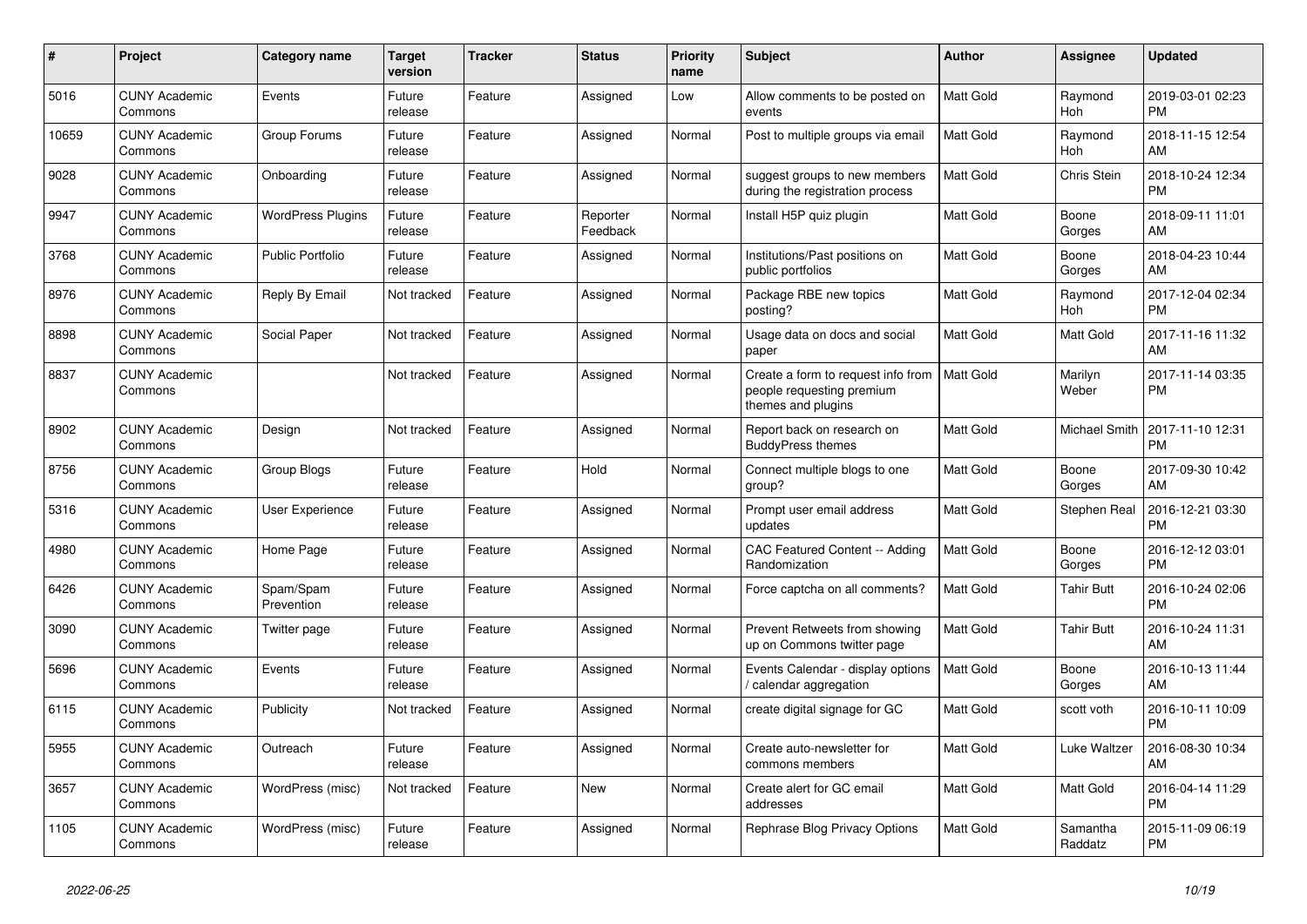| $\pmb{\#}$ | <b>Project</b>                  | Category name            | <b>Target</b><br>version | <b>Tracker</b> | <b>Status</b>        | <b>Priority</b><br>name | <b>Subject</b>                                                                        | <b>Author</b>    | <b>Assignee</b>       | <b>Updated</b>                |
|------------|---------------------------------|--------------------------|--------------------------|----------------|----------------------|-------------------------|---------------------------------------------------------------------------------------|------------------|-----------------------|-------------------------------|
| 5016       | <b>CUNY Academic</b><br>Commons | Events                   | Future<br>release        | Feature        | Assigned             | Low                     | Allow comments to be posted on<br>events                                              | <b>Matt Gold</b> | Raymond<br><b>Hoh</b> | 2019-03-01 02:23<br><b>PM</b> |
| 10659      | <b>CUNY Academic</b><br>Commons | Group Forums             | Future<br>release        | Feature        | Assigned             | Normal                  | Post to multiple groups via email                                                     | <b>Matt Gold</b> | Raymond<br>Hoh        | 2018-11-15 12:54<br>AM        |
| 9028       | <b>CUNY Academic</b><br>Commons | Onboarding               | Future<br>release        | Feature        | Assigned             | Normal                  | suggest groups to new members<br>during the registration process                      | <b>Matt Gold</b> | Chris Stein           | 2018-10-24 12:34<br><b>PM</b> |
| 9947       | <b>CUNY Academic</b><br>Commons | <b>WordPress Plugins</b> | Future<br>release        | Feature        | Reporter<br>Feedback | Normal                  | Install H5P quiz plugin                                                               | <b>Matt Gold</b> | Boone<br>Gorges       | 2018-09-11 11:01<br>AM        |
| 3768       | <b>CUNY Academic</b><br>Commons | <b>Public Portfolio</b>  | Future<br>release        | Feature        | Assigned             | Normal                  | Institutions/Past positions on<br>public portfolios                                   | Matt Gold        | Boone<br>Gorges       | 2018-04-23 10:44<br>AM        |
| 8976       | <b>CUNY Academic</b><br>Commons | Reply By Email           | Not tracked              | Feature        | Assigned             | Normal                  | Package RBE new topics<br>posting?                                                    | Matt Gold        | Raymond<br>Hoh        | 2017-12-04 02:34<br><b>PM</b> |
| 8898       | <b>CUNY Academic</b><br>Commons | Social Paper             | Not tracked              | Feature        | Assigned             | Normal                  | Usage data on docs and social<br>paper                                                | <b>Matt Gold</b> | <b>Matt Gold</b>      | 2017-11-16 11:32<br>AM        |
| 8837       | <b>CUNY Academic</b><br>Commons |                          | Not tracked              | Feature        | Assigned             | Normal                  | Create a form to request info from<br>people requesting premium<br>themes and plugins | <b>Matt Gold</b> | Marilyn<br>Weber      | 2017-11-14 03:35<br><b>PM</b> |
| 8902       | <b>CUNY Academic</b><br>Commons | Design                   | Not tracked              | Feature        | Assigned             | Normal                  | Report back on research on<br><b>BuddyPress themes</b>                                | <b>Matt Gold</b> | Michael Smith         | 2017-11-10 12:31<br><b>PM</b> |
| 8756       | <b>CUNY Academic</b><br>Commons | Group Blogs              | Future<br>release        | Feature        | Hold                 | Normal                  | Connect multiple blogs to one<br>group?                                               | <b>Matt Gold</b> | Boone<br>Gorges       | 2017-09-30 10:42<br>AM        |
| 5316       | <b>CUNY Academic</b><br>Commons | User Experience          | Future<br>release        | Feature        | Assigned             | Normal                  | Prompt user email address<br>updates                                                  | Matt Gold        | Stephen Real          | 2016-12-21 03:30<br><b>PM</b> |
| 4980       | <b>CUNY Academic</b><br>Commons | Home Page                | Future<br>release        | Feature        | Assigned             | Normal                  | <b>CAC Featured Content -- Adding</b><br>Randomization                                | <b>Matt Gold</b> | Boone<br>Gorges       | 2016-12-12 03:01<br><b>PM</b> |
| 6426       | <b>CUNY Academic</b><br>Commons | Spam/Spam<br>Prevention  | Future<br>release        | Feature        | Assigned             | Normal                  | Force captcha on all comments?                                                        | Matt Gold        | <b>Tahir Butt</b>     | 2016-10-24 02:06<br><b>PM</b> |
| 3090       | <b>CUNY Academic</b><br>Commons | Twitter page             | Future<br>release        | Feature        | Assigned             | Normal                  | Prevent Retweets from showing<br>up on Commons twitter page                           | <b>Matt Gold</b> | <b>Tahir Butt</b>     | 2016-10-24 11:31<br>AM        |
| 5696       | <b>CUNY Academic</b><br>Commons | Events                   | Future<br>release        | Feature        | Assigned             | Normal                  | Events Calendar - display options<br>calendar aggregation /                           | <b>Matt Gold</b> | Boone<br>Gorges       | 2016-10-13 11:44<br>AM        |
| 6115       | <b>CUNY Academic</b><br>Commons | Publicity                | Not tracked              | Feature        | Assigned             | Normal                  | create digital signage for GC                                                         | Matt Gold        | scott voth            | 2016-10-11 10:09<br><b>PM</b> |
| 5955       | <b>CUNY Academic</b><br>Commons | Outreach                 | Future<br>release        | Feature        | Assigned             | Normal                  | Create auto-newsletter for<br>commons members                                         | <b>Matt Gold</b> | Luke Waltzer          | 2016-08-30 10:34<br>AM        |
| 3657       | <b>CUNY Academic</b><br>Commons | WordPress (misc)         | Not tracked              | Feature        | <b>New</b>           | Normal                  | Create alert for GC email<br>addresses                                                | <b>Matt Gold</b> | <b>Matt Gold</b>      | 2016-04-14 11:29<br><b>PM</b> |
| 1105       | <b>CUNY Academic</b><br>Commons | WordPress (misc)         | Future<br>release        | Feature        | Assigned             | Normal                  | Rephrase Blog Privacy Options                                                         | <b>Matt Gold</b> | Samantha<br>Raddatz   | 2015-11-09 06:19<br><b>PM</b> |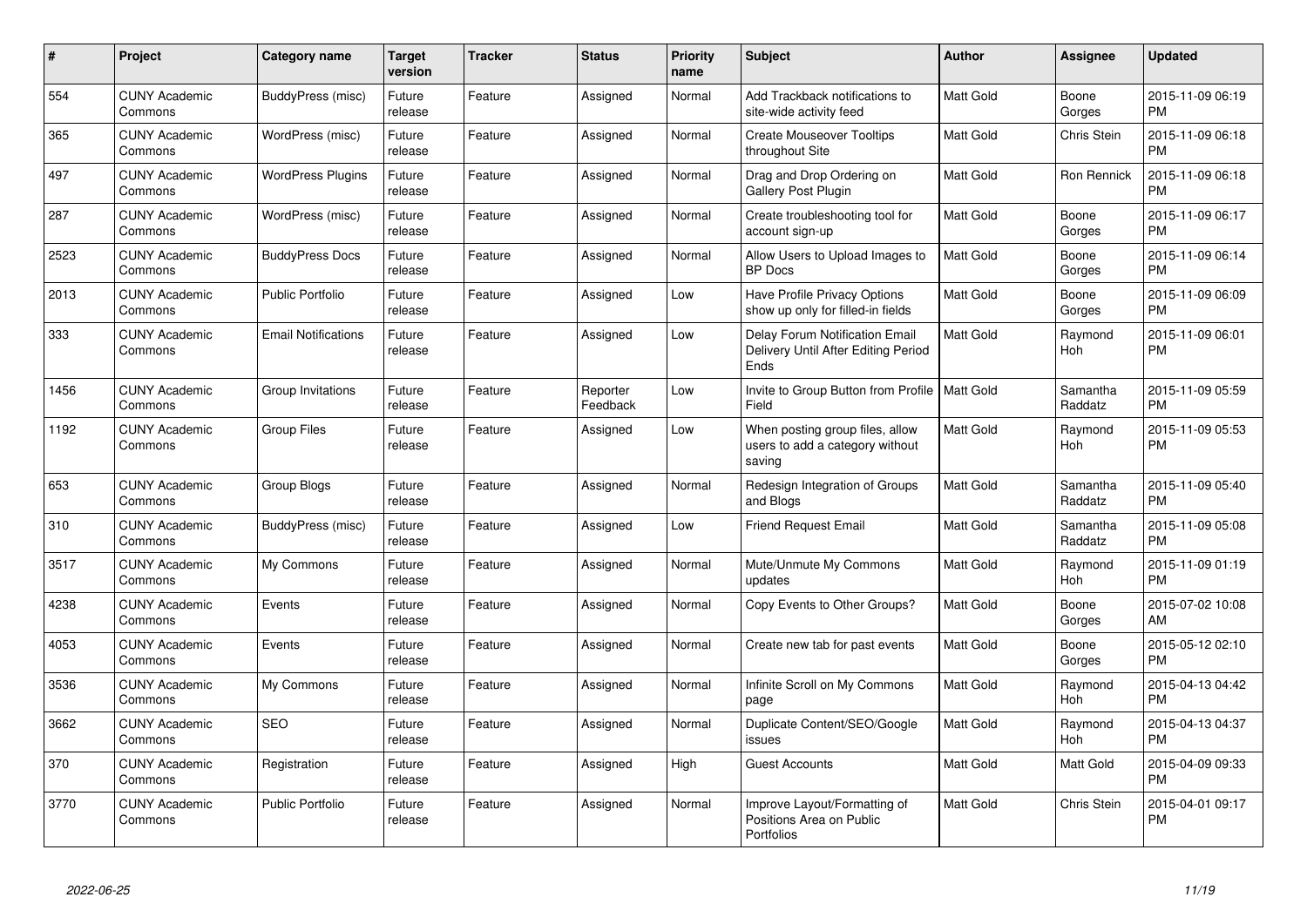| $\#$ | <b>Project</b>                  | Category name              | <b>Target</b><br>version | <b>Tracker</b> | <b>Status</b>        | <b>Priority</b><br>name | <b>Subject</b>                                                                       | Author           | Assignee              | <b>Updated</b>                |
|------|---------------------------------|----------------------------|--------------------------|----------------|----------------------|-------------------------|--------------------------------------------------------------------------------------|------------------|-----------------------|-------------------------------|
| 554  | <b>CUNY Academic</b><br>Commons | BuddyPress (misc)          | Future<br>release        | Feature        | Assigned             | Normal                  | Add Trackback notifications to<br>site-wide activity feed                            | <b>Matt Gold</b> | Boone<br>Gorges       | 2015-11-09 06:19<br><b>PM</b> |
| 365  | <b>CUNY Academic</b><br>Commons | WordPress (misc)           | Future<br>release        | Feature        | Assigned             | Normal                  | <b>Create Mouseover Tooltips</b><br>throughout Site                                  | <b>Matt Gold</b> | Chris Stein           | 2015-11-09 06:18<br><b>PM</b> |
| 497  | <b>CUNY Academic</b><br>Commons | <b>WordPress Plugins</b>   | Future<br>release        | Feature        | Assigned             | Normal                  | Drag and Drop Ordering on<br><b>Gallery Post Plugin</b>                              | <b>Matt Gold</b> | Ron Rennick           | 2015-11-09 06:18<br><b>PM</b> |
| 287  | <b>CUNY Academic</b><br>Commons | WordPress (misc)           | Future<br>release        | Feature        | Assigned             | Normal                  | Create troubleshooting tool for<br>account sign-up                                   | Matt Gold        | Boone<br>Gorges       | 2015-11-09 06:17<br><b>PM</b> |
| 2523 | <b>CUNY Academic</b><br>Commons | <b>BuddyPress Docs</b>     | Future<br>release        | Feature        | Assigned             | Normal                  | Allow Users to Upload Images to<br><b>BP</b> Docs                                    | <b>Matt Gold</b> | Boone<br>Gorges       | 2015-11-09 06:14<br><b>PM</b> |
| 2013 | <b>CUNY Academic</b><br>Commons | <b>Public Portfolio</b>    | Future<br>release        | Feature        | Assigned             | Low                     | Have Profile Privacy Options<br>show up only for filled-in fields                    | <b>Matt Gold</b> | Boone<br>Gorges       | 2015-11-09 06:09<br><b>PM</b> |
| 333  | <b>CUNY Academic</b><br>Commons | <b>Email Notifications</b> | Future<br>release        | Feature        | Assigned             | Low                     | <b>Delay Forum Notification Email</b><br>Delivery Until After Editing Period<br>Ends | <b>Matt Gold</b> | Raymond<br>Hoh        | 2015-11-09 06:01<br><b>PM</b> |
| 1456 | <b>CUNY Academic</b><br>Commons | Group Invitations          | Future<br>release        | Feature        | Reporter<br>Feedback | Low                     | Invite to Group Button from Profile<br>Field                                         | <b>Matt Gold</b> | Samantha<br>Raddatz   | 2015-11-09 05:59<br><b>PM</b> |
| 1192 | <b>CUNY Academic</b><br>Commons | <b>Group Files</b>         | Future<br>release        | Feature        | Assigned             | Low                     | When posting group files, allow<br>users to add a category without<br>saving         | <b>Matt Gold</b> | Raymond<br>Hoh        | 2015-11-09 05:53<br><b>PM</b> |
| 653  | <b>CUNY Academic</b><br>Commons | Group Blogs                | Future<br>release        | Feature        | Assigned             | Normal                  | Redesign Integration of Groups<br>and Blogs                                          | <b>Matt Gold</b> | Samantha<br>Raddatz   | 2015-11-09 05:40<br><b>PM</b> |
| 310  | <b>CUNY Academic</b><br>Commons | BuddyPress (misc)          | Future<br>release        | Feature        | Assigned             | Low                     | <b>Friend Request Email</b>                                                          | <b>Matt Gold</b> | Samantha<br>Raddatz   | 2015-11-09 05:08<br><b>PM</b> |
| 3517 | <b>CUNY Academic</b><br>Commons | My Commons                 | Future<br>release        | Feature        | Assigned             | Normal                  | Mute/Unmute My Commons<br>updates                                                    | <b>Matt Gold</b> | Raymond<br>Hoh        | 2015-11-09 01:19<br><b>PM</b> |
| 4238 | <b>CUNY Academic</b><br>Commons | Events                     | Future<br>release        | Feature        | Assigned             | Normal                  | Copy Events to Other Groups?                                                         | <b>Matt Gold</b> | Boone<br>Gorges       | 2015-07-02 10:08<br>AM        |
| 4053 | <b>CUNY Academic</b><br>Commons | Events                     | Future<br>release        | Feature        | Assigned             | Normal                  | Create new tab for past events                                                       | Matt Gold        | Boone<br>Gorges       | 2015-05-12 02:10<br><b>PM</b> |
| 3536 | <b>CUNY Academic</b><br>Commons | My Commons                 | Future<br>release        | Feature        | Assigned             | Normal                  | Infinite Scroll on My Commons<br>page                                                | <b>Matt Gold</b> | Raymond<br><b>Hoh</b> | 2015-04-13 04:42<br><b>PM</b> |
| 3662 | <b>CUNY Academic</b><br>Commons | <b>SEO</b>                 | Future<br>release        | Feature        | Assigned             | Normal                  | Duplicate Content/SEO/Google<br>issues                                               | Matt Gold        | Raymond<br>Hoh        | 2015-04-13 04:37<br><b>PM</b> |
| 370  | <b>CUNY Academic</b><br>Commons | Registration               | Future<br>release        | Feature        | Assigned             | High                    | <b>Guest Accounts</b>                                                                | <b>Matt Gold</b> | Matt Gold             | 2015-04-09 09:33<br><b>PM</b> |
| 3770 | <b>CUNY Academic</b><br>Commons | <b>Public Portfolio</b>    | Future<br>release        | Feature        | Assigned             | Normal                  | Improve Layout/Formatting of<br>Positions Area on Public<br>Portfolios               | <b>Matt Gold</b> | Chris Stein           | 2015-04-01 09:17<br><b>PM</b> |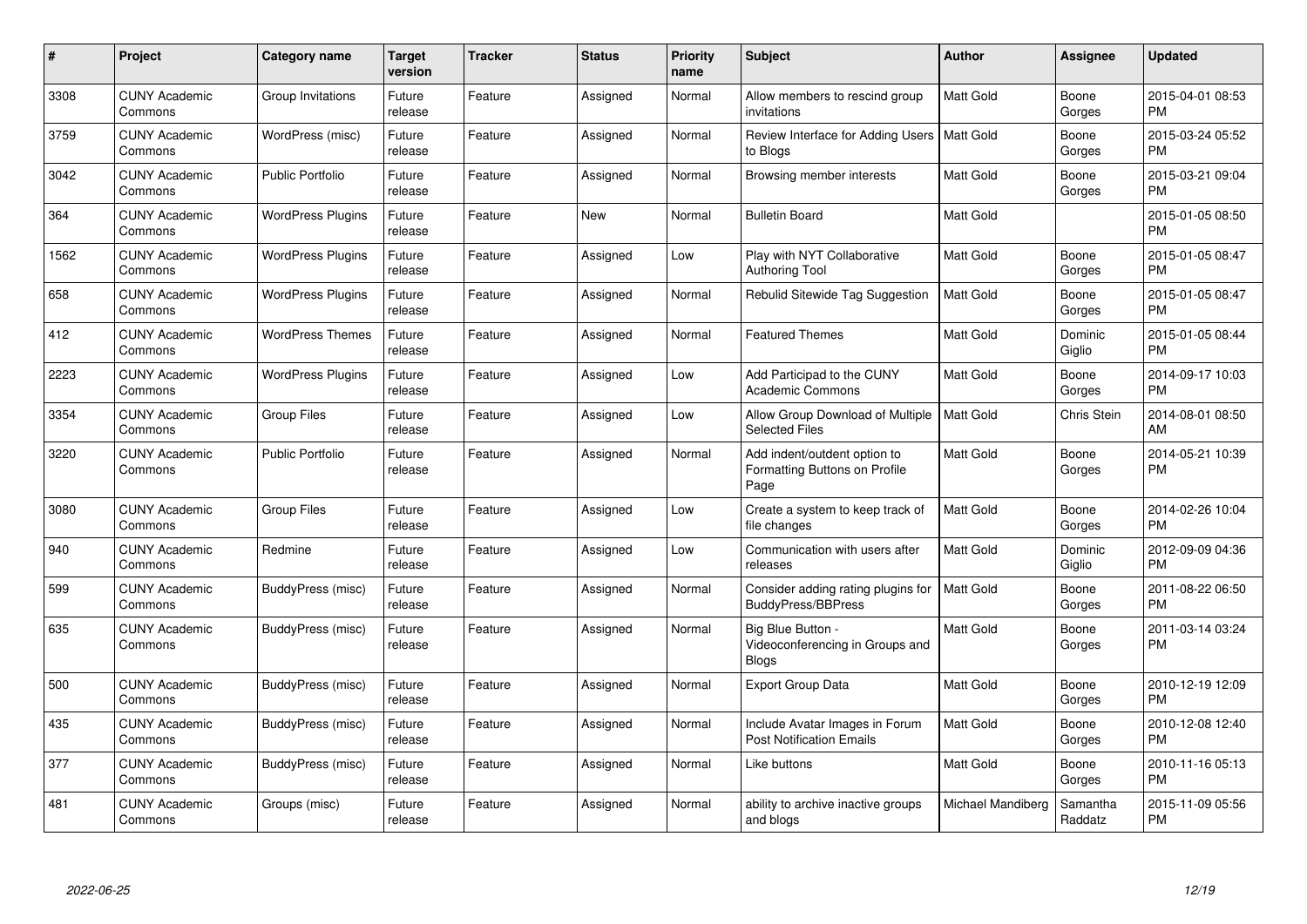| #    | Project                         | <b>Category name</b>     | <b>Target</b><br>version | <b>Tracker</b> | <b>Status</b> | <b>Priority</b><br>name | <b>Subject</b>                                                        | <b>Author</b>     | <b>Assignee</b>     | <b>Updated</b>                |
|------|---------------------------------|--------------------------|--------------------------|----------------|---------------|-------------------------|-----------------------------------------------------------------------|-------------------|---------------------|-------------------------------|
| 3308 | <b>CUNY Academic</b><br>Commons | Group Invitations        | Future<br>release        | Feature        | Assigned      | Normal                  | Allow members to rescind group<br>invitations                         | Matt Gold         | Boone<br>Gorges     | 2015-04-01 08:53<br><b>PM</b> |
| 3759 | <b>CUNY Academic</b><br>Commons | WordPress (misc)         | Future<br>release        | Feature        | Assigned      | Normal                  | Review Interface for Adding Users   Matt Gold<br>to Blogs             |                   | Boone<br>Gorges     | 2015-03-24 05:52<br><b>PM</b> |
| 3042 | <b>CUNY Academic</b><br>Commons | <b>Public Portfolio</b>  | Future<br>release        | Feature        | Assigned      | Normal                  | Browsing member interests                                             | <b>Matt Gold</b>  | Boone<br>Gorges     | 2015-03-21 09:04<br><b>PM</b> |
| 364  | <b>CUNY Academic</b><br>Commons | <b>WordPress Plugins</b> | Future<br>release        | Feature        | New           | Normal                  | <b>Bulletin Board</b>                                                 | Matt Gold         |                     | 2015-01-05 08:50<br><b>PM</b> |
| 1562 | <b>CUNY Academic</b><br>Commons | <b>WordPress Plugins</b> | Future<br>release        | Feature        | Assigned      | Low                     | Play with NYT Collaborative<br><b>Authoring Tool</b>                  | <b>Matt Gold</b>  | Boone<br>Gorges     | 2015-01-05 08:47<br><b>PM</b> |
| 658  | <b>CUNY Academic</b><br>Commons | <b>WordPress Plugins</b> | Future<br>release        | Feature        | Assigned      | Normal                  | Rebulid Sitewide Tag Suggestion                                       | <b>Matt Gold</b>  | Boone<br>Gorges     | 2015-01-05 08:47<br><b>PM</b> |
| 412  | <b>CUNY Academic</b><br>Commons | <b>WordPress Themes</b>  | Future<br>release        | Feature        | Assigned      | Normal                  | <b>Featured Themes</b>                                                | Matt Gold         | Dominic<br>Giglio   | 2015-01-05 08:44<br><b>PM</b> |
| 2223 | <b>CUNY Academic</b><br>Commons | <b>WordPress Plugins</b> | Future<br>release        | Feature        | Assigned      | Low                     | Add Participad to the CUNY<br><b>Academic Commons</b>                 | <b>Matt Gold</b>  | Boone<br>Gorges     | 2014-09-17 10:03<br><b>PM</b> |
| 3354 | <b>CUNY Academic</b><br>Commons | <b>Group Files</b>       | Future<br>release        | Feature        | Assigned      | Low                     | Allow Group Download of Multiple   Matt Gold<br><b>Selected Files</b> |                   | Chris Stein         | 2014-08-01 08:50<br>AM        |
| 3220 | <b>CUNY Academic</b><br>Commons | Public Portfolio         | Future<br>release        | Feature        | Assigned      | Normal                  | Add indent/outdent option to<br>Formatting Buttons on Profile<br>Page | <b>Matt Gold</b>  | Boone<br>Gorges     | 2014-05-21 10:39<br><b>PM</b> |
| 3080 | <b>CUNY Academic</b><br>Commons | <b>Group Files</b>       | Future<br>release        | Feature        | Assigned      | Low                     | Create a system to keep track of<br>file changes                      | Matt Gold         | Boone<br>Gorges     | 2014-02-26 10:04<br><b>PM</b> |
| 940  | <b>CUNY Academic</b><br>Commons | Redmine                  | Future<br>release        | Feature        | Assigned      | Low                     | Communication with users after<br>releases                            | <b>Matt Gold</b>  | Dominic<br>Giglio   | 2012-09-09 04:36<br><b>PM</b> |
| 599  | <b>CUNY Academic</b><br>Commons | BuddyPress (misc)        | Future<br>release        | Feature        | Assigned      | Normal                  | Consider adding rating plugins for<br><b>BuddyPress/BBPress</b>       | <b>Matt Gold</b>  | Boone<br>Gorges     | 2011-08-22 06:50<br><b>PM</b> |
| 635  | <b>CUNY Academic</b><br>Commons | BuddyPress (misc)        | Future<br>release        | Feature        | Assigned      | Normal                  | Big Blue Button -<br>Videoconferencing in Groups and<br>Blogs         | <b>Matt Gold</b>  | Boone<br>Gorges     | 2011-03-14 03:24<br><b>PM</b> |
| 500  | <b>CUNY Academic</b><br>Commons | BuddyPress (misc)        | Future<br>release        | Feature        | Assigned      | Normal                  | <b>Export Group Data</b>                                              | Matt Gold         | Boone<br>Gorges     | 2010-12-19 12:09<br><b>PM</b> |
| 435  | <b>CUNY Academic</b><br>Commons | BuddyPress (misc)        | Future<br>release        | Feature        | Assigned      | Normal                  | Include Avatar Images in Forum<br><b>Post Notification Emails</b>     | <b>Matt Gold</b>  | Boone<br>Gorges     | 2010-12-08 12:40<br><b>PM</b> |
| 377  | <b>CUNY Academic</b><br>Commons | BuddyPress (misc)        | Future<br>release        | Feature        | Assigned      | Normal                  | Like buttons                                                          | Matt Gold         | Boone<br>Gorges     | 2010-11-16 05:13<br><b>PM</b> |
| 481  | <b>CUNY Academic</b><br>Commons | Groups (misc)            | Future<br>release        | Feature        | Assigned      | Normal                  | ability to archive inactive groups<br>and blogs                       | Michael Mandiberg | Samantha<br>Raddatz | 2015-11-09 05:56<br><b>PM</b> |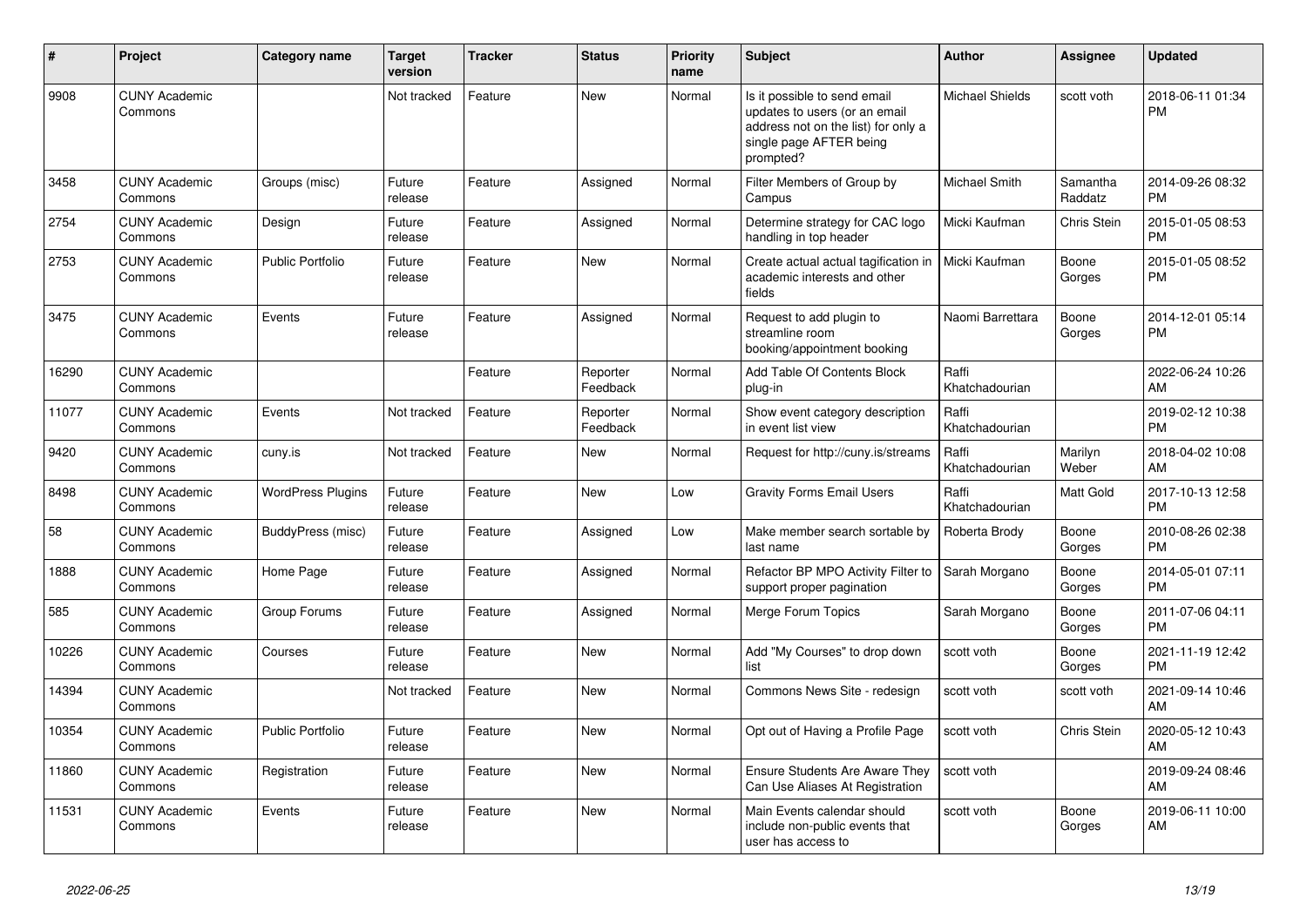| $\#$  | <b>Project</b>                  | <b>Category name</b>     | <b>Target</b><br>version | <b>Tracker</b> | <b>Status</b>        | Priority<br>name | <b>Subject</b>                                                                                                                               | <b>Author</b>           | <b>Assignee</b>     | <b>Updated</b>                |
|-------|---------------------------------|--------------------------|--------------------------|----------------|----------------------|------------------|----------------------------------------------------------------------------------------------------------------------------------------------|-------------------------|---------------------|-------------------------------|
| 9908  | <b>CUNY Academic</b><br>Commons |                          | Not tracked              | Feature        | <b>New</b>           | Normal           | Is it possible to send email<br>updates to users (or an email<br>address not on the list) for only a<br>single page AFTER being<br>prompted? | <b>Michael Shields</b>  | scott voth          | 2018-06-11 01:34<br><b>PM</b> |
| 3458  | <b>CUNY Academic</b><br>Commons | Groups (misc)            | Future<br>release        | Feature        | Assigned             | Normal           | Filter Members of Group by<br>Campus                                                                                                         | Michael Smith           | Samantha<br>Raddatz | 2014-09-26 08:32<br><b>PM</b> |
| 2754  | <b>CUNY Academic</b><br>Commons | Design                   | Future<br>release        | Feature        | Assigned             | Normal           | Determine strategy for CAC logo<br>handling in top header                                                                                    | Micki Kaufman           | Chris Stein         | 2015-01-05 08:53<br><b>PM</b> |
| 2753  | <b>CUNY Academic</b><br>Commons | Public Portfolio         | Future<br>release        | Feature        | <b>New</b>           | Normal           | Create actual actual tagification in<br>academic interests and other<br>fields                                                               | Micki Kaufman           | Boone<br>Gorges     | 2015-01-05 08:52<br><b>PM</b> |
| 3475  | <b>CUNY Academic</b><br>Commons | Events                   | Future<br>release        | Feature        | Assigned             | Normal           | Request to add plugin to<br>streamline room<br>booking/appointment booking                                                                   | Naomi Barrettara        | Boone<br>Gorges     | 2014-12-01 05:14<br><b>PM</b> |
| 16290 | <b>CUNY Academic</b><br>Commons |                          |                          | Feature        | Reporter<br>Feedback | Normal           | Add Table Of Contents Block<br>plug-in                                                                                                       | Raffi<br>Khatchadourian |                     | 2022-06-24 10:26<br>AM        |
| 11077 | <b>CUNY Academic</b><br>Commons | Events                   | Not tracked              | Feature        | Reporter<br>Feedback | Normal           | Show event category description<br>in event list view                                                                                        | Raffi<br>Khatchadourian |                     | 2019-02-12 10:38<br><b>PM</b> |
| 9420  | <b>CUNY Academic</b><br>Commons | cuny.is                  | Not tracked              | Feature        | <b>New</b>           | Normal           | Request for http://cuny.is/streams                                                                                                           | Raffi<br>Khatchadourian | Marilyn<br>Weber    | 2018-04-02 10:08<br>AM        |
| 8498  | <b>CUNY Academic</b><br>Commons | <b>WordPress Plugins</b> | Future<br>release        | Feature        | <b>New</b>           | Low              | <b>Gravity Forms Email Users</b>                                                                                                             | Raffi<br>Khatchadourian | Matt Gold           | 2017-10-13 12:58<br><b>PM</b> |
| 58    | <b>CUNY Academic</b><br>Commons | BuddyPress (misc)        | Future<br>release        | Feature        | Assigned             | Low              | Make member search sortable by<br>last name                                                                                                  | Roberta Brody           | Boone<br>Gorges     | 2010-08-26 02:38<br><b>PM</b> |
| 1888  | <b>CUNY Academic</b><br>Commons | Home Page                | Future<br>release        | Feature        | Assigned             | Normal           | Refactor BP MPO Activity Filter to<br>support proper pagination                                                                              | Sarah Morgano           | Boone<br>Gorges     | 2014-05-01 07:11<br><b>PM</b> |
| 585   | <b>CUNY Academic</b><br>Commons | Group Forums             | Future<br>release        | Feature        | Assigned             | Normal           | Merge Forum Topics                                                                                                                           | Sarah Morgano           | Boone<br>Gorges     | 2011-07-06 04:11<br><b>PM</b> |
| 10226 | <b>CUNY Academic</b><br>Commons | Courses                  | Future<br>release        | Feature        | <b>New</b>           | Normal           | Add "My Courses" to drop down<br>list                                                                                                        | scott voth              | Boone<br>Gorges     | 2021-11-19 12:42<br><b>PM</b> |
| 14394 | <b>CUNY Academic</b><br>Commons |                          | Not tracked              | Feature        | <b>New</b>           | Normal           | Commons News Site - redesign                                                                                                                 | scott voth              | scott voth          | 2021-09-14 10:46<br>AM        |
| 10354 | <b>CUNY Academic</b><br>Commons | <b>Public Portfolio</b>  | Future<br>release        | Feature        | <b>New</b>           | Normal           | Opt out of Having a Profile Page                                                                                                             | scott voth              | Chris Stein         | 2020-05-12 10:43<br>AM        |
| 11860 | <b>CUNY Academic</b><br>Commons | Registration             | Future<br>release        | Feature        | <b>New</b>           | Normal           | <b>Ensure Students Are Aware They</b><br>Can Use Aliases At Registration                                                                     | scott voth              |                     | 2019-09-24 08:46<br>AM        |
| 11531 | <b>CUNY Academic</b><br>Commons | Events                   | Future<br>release        | Feature        | <b>New</b>           | Normal           | Main Events calendar should<br>include non-public events that<br>user has access to                                                          | scott voth              | Boone<br>Gorges     | 2019-06-11 10:00<br>AM        |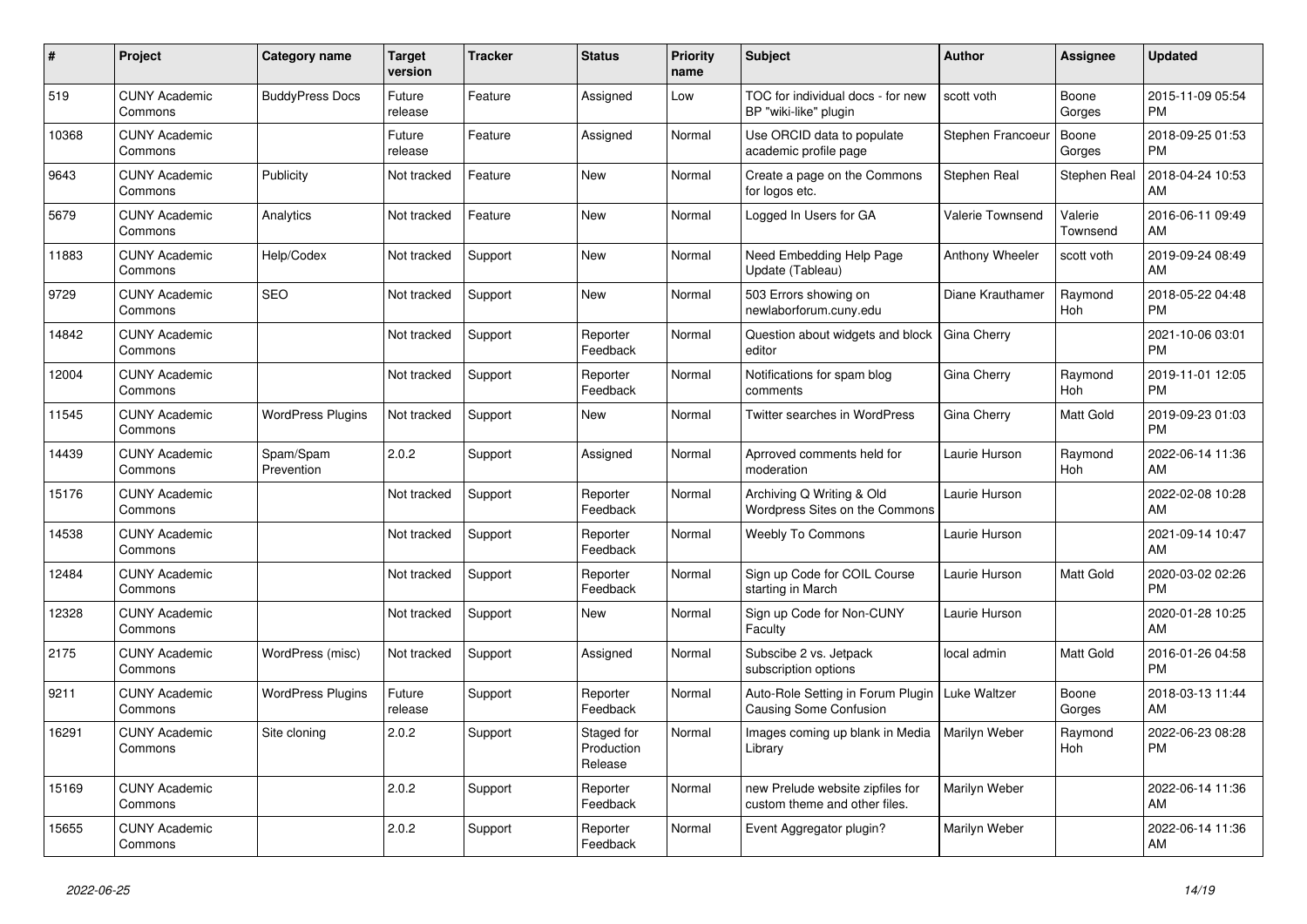| #     | Project                         | <b>Category name</b>     | <b>Target</b><br>version | <b>Tracker</b> | <b>Status</b>                       | <b>Priority</b><br>name | <b>Subject</b>                                                     | <b>Author</b>           | Assignee              | <b>Updated</b>                |
|-------|---------------------------------|--------------------------|--------------------------|----------------|-------------------------------------|-------------------------|--------------------------------------------------------------------|-------------------------|-----------------------|-------------------------------|
| 519   | <b>CUNY Academic</b><br>Commons | <b>BuddyPress Docs</b>   | Future<br>release        | Feature        | Assigned                            | Low                     | TOC for individual docs - for new<br>BP "wiki-like" plugin         | scott voth              | Boone<br>Gorges       | 2015-11-09 05:54<br><b>PM</b> |
| 10368 | <b>CUNY Academic</b><br>Commons |                          | Future<br>release        | Feature        | Assigned                            | Normal                  | Use ORCID data to populate<br>academic profile page                | Stephen Francoeur       | Boone<br>Gorges       | 2018-09-25 01:53<br><b>PM</b> |
| 9643  | <b>CUNY Academic</b><br>Commons | Publicity                | Not tracked              | Feature        | <b>New</b>                          | Normal                  | Create a page on the Commons<br>for logos etc.                     | Stephen Real            | <b>Stephen Real</b>   | 2018-04-24 10:53<br>AM        |
| 5679  | <b>CUNY Academic</b><br>Commons | Analytics                | Not tracked              | Feature        | <b>New</b>                          | Normal                  | Logged In Users for GA                                             | <b>Valerie Townsend</b> | Valerie<br>Townsend   | 2016-06-11 09:49<br>AM        |
| 11883 | <b>CUNY Academic</b><br>Commons | Help/Codex               | Not tracked              | Support        | New                                 | Normal                  | Need Embedding Help Page<br>Update (Tableau)                       | Anthony Wheeler         | scott voth            | 2019-09-24 08:49<br>AM        |
| 9729  | <b>CUNY Academic</b><br>Commons | <b>SEO</b>               | Not tracked              | Support        | <b>New</b>                          | Normal                  | 503 Errors showing on<br>newlaborforum.cuny.edu                    | Diane Krauthamer        | Raymond<br>Hoh        | 2018-05-22 04:48<br><b>PM</b> |
| 14842 | <b>CUNY Academic</b><br>Commons |                          | Not tracked              | Support        | Reporter<br>Feedback                | Normal                  | Question about widgets and block<br>editor                         | Gina Cherry             |                       | 2021-10-06 03:01<br><b>PM</b> |
| 12004 | <b>CUNY Academic</b><br>Commons |                          | Not tracked              | Support        | Reporter<br>Feedback                | Normal                  | Notifications for spam blog<br>comments                            | Gina Cherry             | Raymond<br>Hoh        | 2019-11-01 12:05<br><b>PM</b> |
| 11545 | <b>CUNY Academic</b><br>Commons | <b>WordPress Plugins</b> | Not tracked              | Support        | <b>New</b>                          | Normal                  | Twitter searches in WordPress                                      | Gina Cherry             | Matt Gold             | 2019-09-23 01:03<br><b>PM</b> |
| 14439 | <b>CUNY Academic</b><br>Commons | Spam/Spam<br>Prevention  | 2.0.2                    | Support        | Assigned                            | Normal                  | Aprroved comments held for<br>moderation                           | Laurie Hurson           | Raymond<br>Hoh        | 2022-06-14 11:36<br>AM        |
| 15176 | <b>CUNY Academic</b><br>Commons |                          | Not tracked              | Support        | Reporter<br>Feedback                | Normal                  | Archiving Q Writing & Old<br>Wordpress Sites on the Commons        | Laurie Hurson           |                       | 2022-02-08 10:28<br>AM        |
| 14538 | <b>CUNY Academic</b><br>Commons |                          | Not tracked              | Support        | Reporter<br>Feedback                | Normal                  | <b>Weebly To Commons</b>                                           | Laurie Hurson           |                       | 2021-09-14 10:47<br>AM        |
| 12484 | <b>CUNY Academic</b><br>Commons |                          | Not tracked              | Support        | Reporter<br>Feedback                | Normal                  | Sign up Code for COIL Course<br>starting in March                  | Laurie Hurson           | <b>Matt Gold</b>      | 2020-03-02 02:26<br><b>PM</b> |
| 12328 | <b>CUNY Academic</b><br>Commons |                          | Not tracked              | Support        | <b>New</b>                          | Normal                  | Sign up Code for Non-CUNY<br>Faculty                               | Laurie Hurson           |                       | 2020-01-28 10:25<br>AM        |
| 2175  | <b>CUNY Academic</b><br>Commons | WordPress (misc)         | Not tracked              | Support        | Assigned                            | Normal                  | Subscibe 2 vs. Jetpack<br>subscription options                     | local admin             | Matt Gold             | 2016-01-26 04:58<br><b>PM</b> |
| 9211  | <b>CUNY Academic</b><br>Commons | <b>WordPress Plugins</b> | Future<br>release        | Support        | Reporter<br>Feedback                | Normal                  | Auto-Role Setting in Forum Plugin<br><b>Causing Some Confusion</b> | Luke Waltzer            | Boone<br>Gorges       | 2018-03-13 11:44<br>AM        |
| 16291 | <b>CUNY Academic</b><br>Commons | Site cloning             | 2.0.2                    | Support        | Staged for<br>Production<br>Release | Normal                  | Images coming up blank in Media<br>Library                         | Marilyn Weber           | Raymond<br><b>Hoh</b> | 2022-06-23 08:28<br><b>PM</b> |
| 15169 | <b>CUNY Academic</b><br>Commons |                          | 2.0.2                    | Support        | Reporter<br>Feedback                | Normal                  | new Prelude website zipfiles for<br>custom theme and other files.  | Marilyn Weber           |                       | 2022-06-14 11:36<br>AM        |
| 15655 | <b>CUNY Academic</b><br>Commons |                          | 2.0.2                    | Support        | Reporter<br>Feedback                | Normal                  | Event Aggregator plugin?                                           | Marilyn Weber           |                       | 2022-06-14 11:36<br>AM        |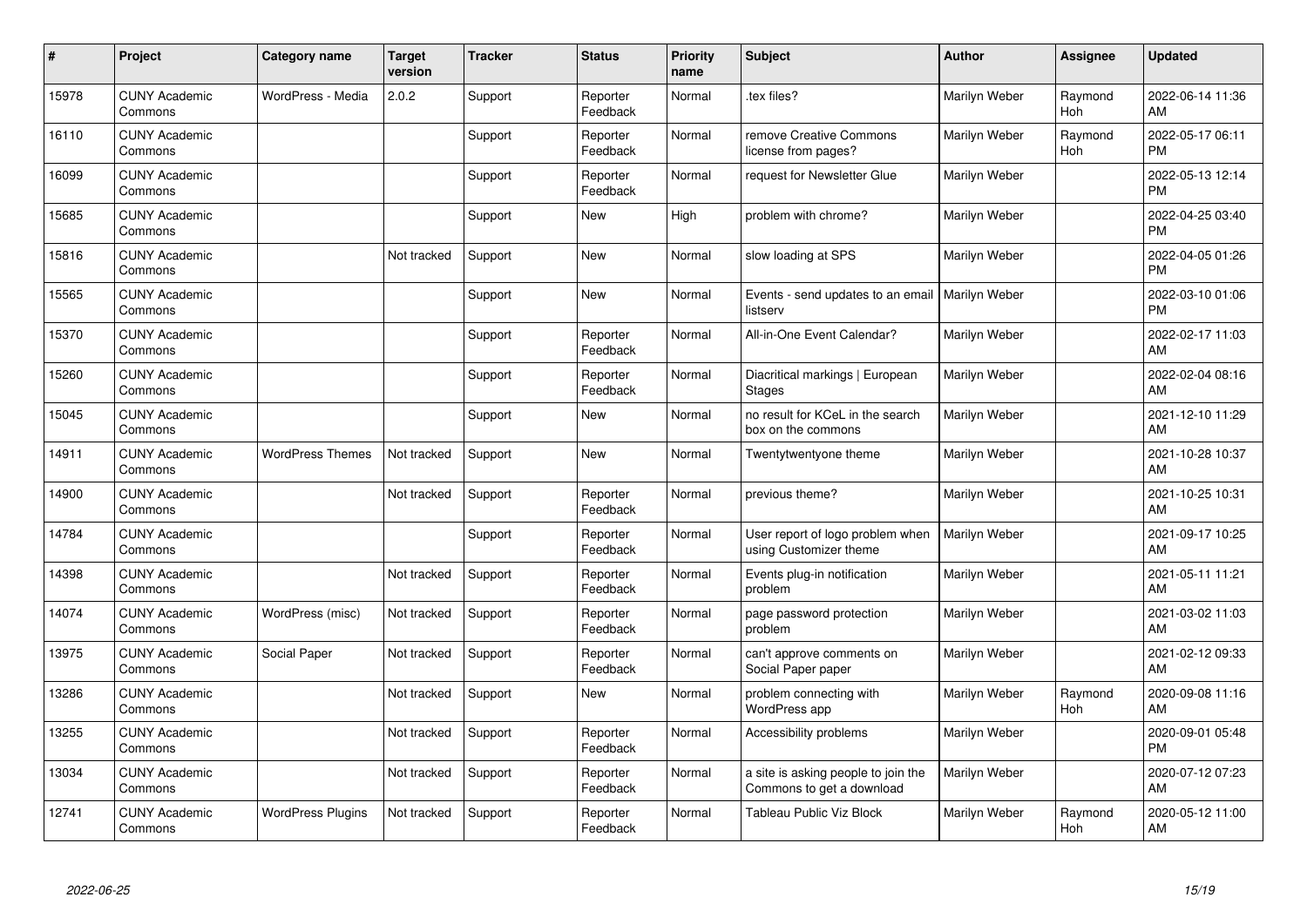| #     | Project                         | <b>Category name</b>     | <b>Target</b><br>version | <b>Tracker</b> | <b>Status</b>        | <b>Priority</b><br>name | <b>Subject</b>                                                   | <b>Author</b>        | <b>Assignee</b>       | <b>Updated</b>                |
|-------|---------------------------------|--------------------------|--------------------------|----------------|----------------------|-------------------------|------------------------------------------------------------------|----------------------|-----------------------|-------------------------------|
| 15978 | <b>CUNY Academic</b><br>Commons | WordPress - Media        | 2.0.2                    | Support        | Reporter<br>Feedback | Normal                  | tex files?                                                       | Marilyn Weber        | Raymond<br><b>Hoh</b> | 2022-06-14 11:36<br>AM        |
| 16110 | <b>CUNY Academic</b><br>Commons |                          |                          | Support        | Reporter<br>Feedback | Normal                  | remove Creative Commons<br>license from pages?                   | Marilyn Weber        | Raymond<br><b>Hoh</b> | 2022-05-17 06:11<br><b>PM</b> |
| 16099 | <b>CUNY Academic</b><br>Commons |                          |                          | Support        | Reporter<br>Feedback | Normal                  | request for Newsletter Glue                                      | Marilyn Weber        |                       | 2022-05-13 12:14<br><b>PM</b> |
| 15685 | <b>CUNY Academic</b><br>Commons |                          |                          | Support        | <b>New</b>           | High                    | problem with chrome?                                             | Marilyn Weber        |                       | 2022-04-25 03:40<br><b>PM</b> |
| 15816 | <b>CUNY Academic</b><br>Commons |                          | Not tracked              | Support        | New                  | Normal                  | slow loading at SPS                                              | Marilyn Weber        |                       | 2022-04-05 01:26<br><b>PM</b> |
| 15565 | <b>CUNY Academic</b><br>Commons |                          |                          | Support        | <b>New</b>           | Normal                  | Events - send updates to an email<br>listserv                    | <b>Marilyn Weber</b> |                       | 2022-03-10 01:06<br><b>PM</b> |
| 15370 | <b>CUNY Academic</b><br>Commons |                          |                          | Support        | Reporter<br>Feedback | Normal                  | All-in-One Event Calendar?                                       | Marilyn Weber        |                       | 2022-02-17 11:03<br>AM        |
| 15260 | <b>CUNY Academic</b><br>Commons |                          |                          | Support        | Reporter<br>Feedback | Normal                  | Diacritical markings   European<br><b>Stages</b>                 | Marilyn Weber        |                       | 2022-02-04 08:16<br>AM        |
| 15045 | <b>CUNY Academic</b><br>Commons |                          |                          | Support        | <b>New</b>           | Normal                  | no result for KCeL in the search<br>box on the commons           | Marilyn Weber        |                       | 2021-12-10 11:29<br>AM        |
| 14911 | <b>CUNY Academic</b><br>Commons | <b>WordPress Themes</b>  | Not tracked              | Support        | <b>New</b>           | Normal                  | Twentytwentyone theme                                            | Marilyn Weber        |                       | 2021-10-28 10:37<br>AM        |
| 14900 | <b>CUNY Academic</b><br>Commons |                          | Not tracked              | Support        | Reporter<br>Feedback | Normal                  | previous theme?                                                  | Marilyn Weber        |                       | 2021-10-25 10:31<br>AM        |
| 14784 | <b>CUNY Academic</b><br>Commons |                          |                          | Support        | Reporter<br>Feedback | Normal                  | User report of logo problem when<br>using Customizer theme       | Marilyn Weber        |                       | 2021-09-17 10:25<br>AM        |
| 14398 | <b>CUNY Academic</b><br>Commons |                          | Not tracked              | Support        | Reporter<br>Feedback | Normal                  | Events plug-in notification<br>problem                           | Marilyn Weber        |                       | 2021-05-11 11:21<br>AM        |
| 14074 | <b>CUNY Academic</b><br>Commons | WordPress (misc)         | Not tracked              | Support        | Reporter<br>Feedback | Normal                  | page password protection<br>problem                              | Marilyn Weber        |                       | 2021-03-02 11:03<br>AM        |
| 13975 | <b>CUNY Academic</b><br>Commons | Social Paper             | Not tracked              | Support        | Reporter<br>Feedback | Normal                  | can't approve comments on<br>Social Paper paper                  | Marilyn Weber        |                       | 2021-02-12 09:33<br>AM        |
| 13286 | <b>CUNY Academic</b><br>Commons |                          | Not tracked              | Support        | New                  | Normal                  | problem connecting with<br>WordPress app                         | Marilyn Weber        | Raymond<br>Hoh        | 2020-09-08 11:16<br>AM        |
| 13255 | <b>CUNY Academic</b><br>Commons |                          | Not tracked              | Support        | Reporter<br>Feedback | Normal                  | Accessibility problems                                           | Marilyn Weber        |                       | 2020-09-01 05:48<br><b>PM</b> |
| 13034 | <b>CUNY Academic</b><br>Commons |                          | Not tracked              | Support        | Reporter<br>Feedback | Normal                  | a site is asking people to join the<br>Commons to get a download | Marilyn Weber        |                       | 2020-07-12 07:23<br>AM        |
| 12741 | <b>CUNY Academic</b><br>Commons | <b>WordPress Plugins</b> | Not tracked              | Support        | Reporter<br>Feedback | Normal                  | Tableau Public Viz Block                                         | Marilyn Weber        | Raymond<br>Hoh        | 2020-05-12 11:00<br>AM        |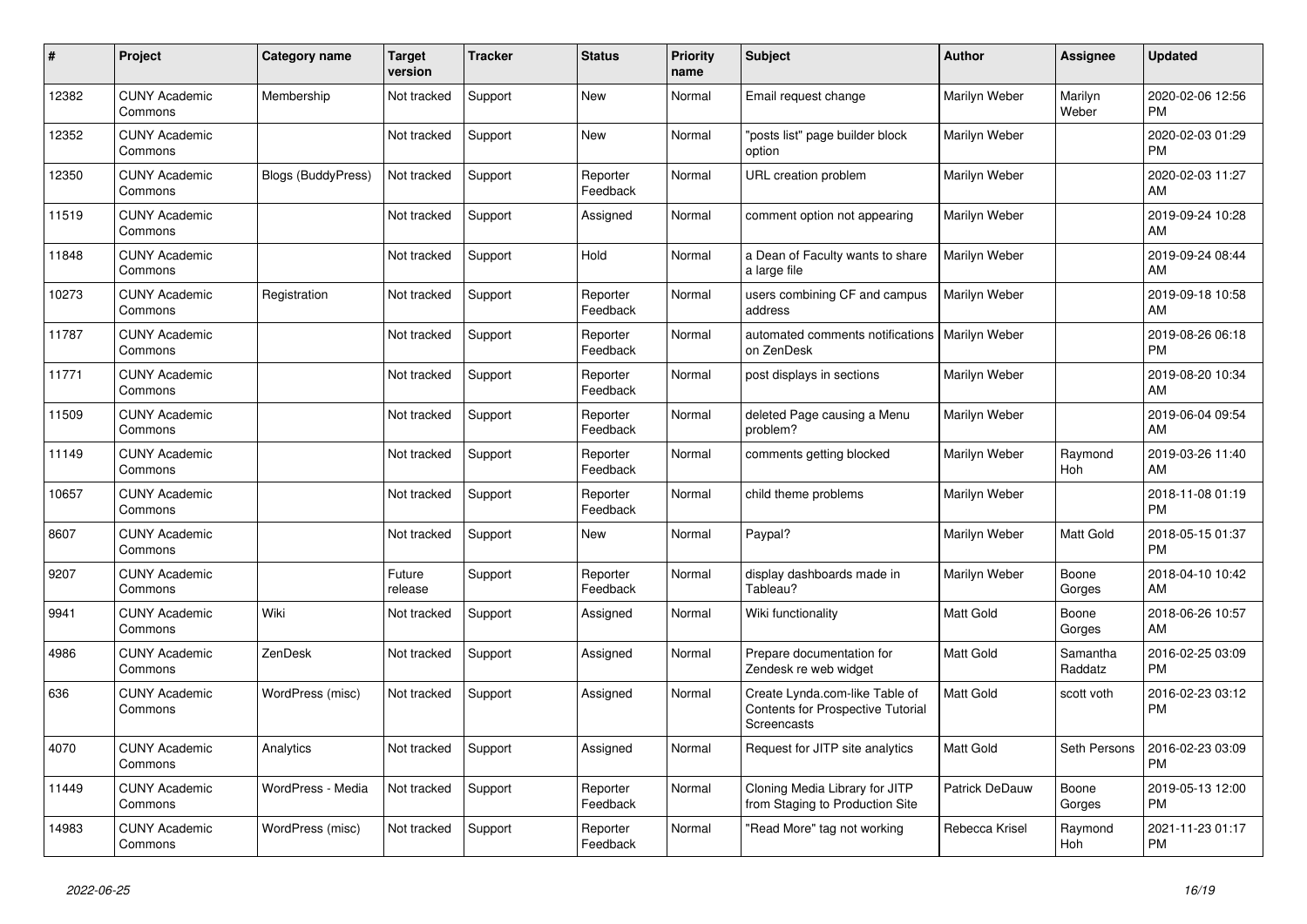| #     | Project                         | <b>Category name</b> | Target<br>version | <b>Tracker</b> | <b>Status</b>        | <b>Priority</b><br>name | <b>Subject</b>                                                                     | <b>Author</b>    | <b>Assignee</b>     | <b>Updated</b>                |
|-------|---------------------------------|----------------------|-------------------|----------------|----------------------|-------------------------|------------------------------------------------------------------------------------|------------------|---------------------|-------------------------------|
| 12382 | <b>CUNY Academic</b><br>Commons | Membership           | Not tracked       | Support        | <b>New</b>           | Normal                  | Email request change                                                               | Marilyn Weber    | Marilyn<br>Weber    | 2020-02-06 12:56<br><b>PM</b> |
| 12352 | <b>CUNY Academic</b><br>Commons |                      | Not tracked       | Support        | <b>New</b>           | Normal                  | 'posts list" page builder block<br>option                                          | Marilyn Weber    |                     | 2020-02-03 01:29<br><b>PM</b> |
| 12350 | <b>CUNY Academic</b><br>Commons | Blogs (BuddyPress)   | Not tracked       | Support        | Reporter<br>Feedback | Normal                  | URL creation problem                                                               | Marilyn Weber    |                     | 2020-02-03 11:27<br>AM        |
| 11519 | <b>CUNY Academic</b><br>Commons |                      | Not tracked       | Support        | Assigned             | Normal                  | comment option not appearing                                                       | Marilyn Weber    |                     | 2019-09-24 10:28<br>AM        |
| 11848 | <b>CUNY Academic</b><br>Commons |                      | Not tracked       | Support        | Hold                 | Normal                  | a Dean of Faculty wants to share<br>a large file                                   | Marilyn Weber    |                     | 2019-09-24 08:44<br>AM        |
| 10273 | <b>CUNY Academic</b><br>Commons | Registration         | Not tracked       | Support        | Reporter<br>Feedback | Normal                  | users combining CF and campus<br>address                                           | Marilyn Weber    |                     | 2019-09-18 10:58<br>AM        |
| 11787 | <b>CUNY Academic</b><br>Commons |                      | Not tracked       | Support        | Reporter<br>Feedback | Normal                  | automated comments notifications<br>on ZenDesk                                     | Marilyn Weber    |                     | 2019-08-26 06:18<br><b>PM</b> |
| 11771 | <b>CUNY Academic</b><br>Commons |                      | Not tracked       | Support        | Reporter<br>Feedback | Normal                  | post displays in sections                                                          | Marilyn Weber    |                     | 2019-08-20 10:34<br>AM        |
| 11509 | <b>CUNY Academic</b><br>Commons |                      | Not tracked       | Support        | Reporter<br>Feedback | Normal                  | deleted Page causing a Menu<br>problem?                                            | Marilyn Weber    |                     | 2019-06-04 09:54<br>AM        |
| 11149 | <b>CUNY Academic</b><br>Commons |                      | Not tracked       | Support        | Reporter<br>Feedback | Normal                  | comments getting blocked                                                           | Marilyn Weber    | Raymond<br>Hoh      | 2019-03-26 11:40<br>AM        |
| 10657 | <b>CUNY Academic</b><br>Commons |                      | Not tracked       | Support        | Reporter<br>Feedback | Normal                  | child theme problems                                                               | Marilyn Weber    |                     | 2018-11-08 01:19<br><b>PM</b> |
| 8607  | <b>CUNY Academic</b><br>Commons |                      | Not tracked       | Support        | New                  | Normal                  | Paypal?                                                                            | Marilyn Weber    | Matt Gold           | 2018-05-15 01:37<br><b>PM</b> |
| 9207  | <b>CUNY Academic</b><br>Commons |                      | Future<br>release | Support        | Reporter<br>Feedback | Normal                  | display dashboards made in<br>Tableau?                                             | Marilyn Weber    | Boone<br>Gorges     | 2018-04-10 10:42<br>AM        |
| 9941  | <b>CUNY Academic</b><br>Commons | Wiki                 | Not tracked       | Support        | Assigned             | Normal                  | Wiki functionality                                                                 | Matt Gold        | Boone<br>Gorges     | 2018-06-26 10:57<br>AM        |
| 4986  | <b>CUNY Academic</b><br>Commons | ZenDesk              | Not tracked       | Support        | Assigned             | Normal                  | Prepare documentation for<br>Zendesk re web widget                                 | Matt Gold        | Samantha<br>Raddatz | 2016-02-25 03:09<br><b>PM</b> |
| 636   | <b>CUNY Academic</b><br>Commons | WordPress (misc)     | Not tracked       | Support        | Assigned             | Normal                  | Create Lynda.com-like Table of<br>Contents for Prospective Tutorial<br>Screencasts | <b>Matt Gold</b> | scott voth          | 2016-02-23 03:12<br><b>PM</b> |
| 4070  | <b>CUNY Academic</b><br>Commons | Analytics            | Not tracked       | Support        | Assigned             | Normal                  | Request for JITP site analytics                                                    | <b>Matt Gold</b> | Seth Persons        | 2016-02-23 03:09<br><b>PM</b> |
| 11449 | <b>CUNY Academic</b><br>Commons | WordPress - Media    | Not tracked       | Support        | Reporter<br>Feedback | Normal                  | Cloning Media Library for JITP<br>from Staging to Production Site                  | Patrick DeDauw   | Boone<br>Gorges     | 2019-05-13 12:00<br><b>PM</b> |
| 14983 | <b>CUNY Academic</b><br>Commons | WordPress (misc)     | Not tracked       | Support        | Reporter<br>Feedback | Normal                  | "Read More" tag not working                                                        | Rebecca Krisel   | Raymond<br>Hoh      | 2021-11-23 01:17<br><b>PM</b> |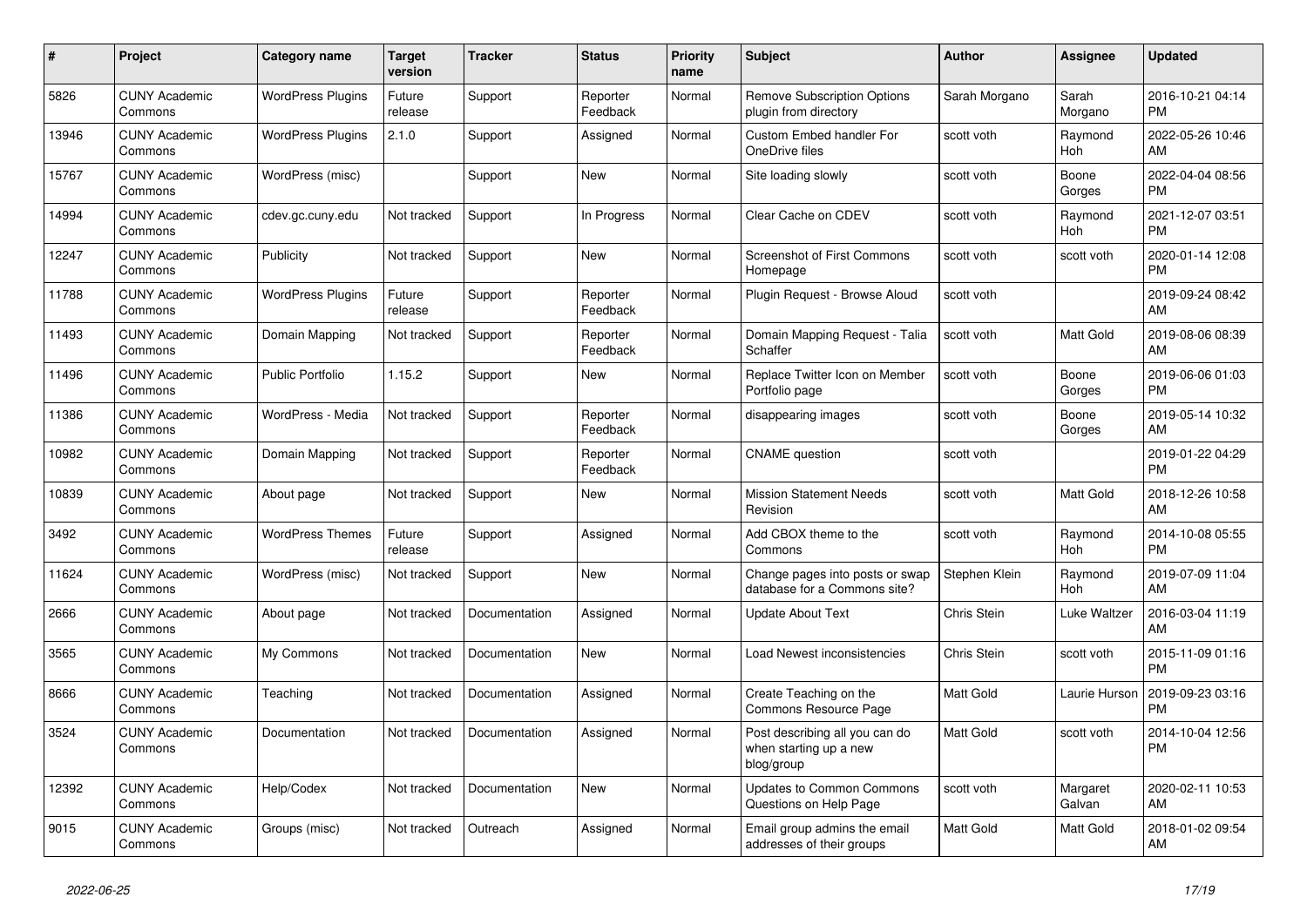| $\#$  | Project                         | <b>Category name</b>     | Target<br>version | <b>Tracker</b> | <b>Status</b>        | <b>Priority</b><br>name | <b>Subject</b>                                                         | <b>Author</b> | <b>Assignee</b>       | <b>Updated</b>                |
|-------|---------------------------------|--------------------------|-------------------|----------------|----------------------|-------------------------|------------------------------------------------------------------------|---------------|-----------------------|-------------------------------|
| 5826  | <b>CUNY Academic</b><br>Commons | <b>WordPress Plugins</b> | Future<br>release | Support        | Reporter<br>Feedback | Normal                  | <b>Remove Subscription Options</b><br>plugin from directory            | Sarah Morgano | Sarah<br>Morgano      | 2016-10-21 04:14<br>PM        |
| 13946 | <b>CUNY Academic</b><br>Commons | WordPress Plugins        | 2.1.0             | Support        | Assigned             | Normal                  | <b>Custom Embed handler For</b><br>OneDrive files                      | scott voth    | Raymond<br>Hoh        | 2022-05-26 10:46<br>AM        |
| 15767 | <b>CUNY Academic</b><br>Commons | WordPress (misc)         |                   | Support        | <b>New</b>           | Normal                  | Site loading slowly                                                    | scott voth    | Boone<br>Gorges       | 2022-04-04 08:56<br><b>PM</b> |
| 14994 | <b>CUNY Academic</b><br>Commons | cdev.gc.cuny.edu         | Not tracked       | Support        | In Progress          | Normal                  | Clear Cache on CDEV                                                    | scott voth    | Raymond<br><b>Hoh</b> | 2021-12-07 03:51<br><b>PM</b> |
| 12247 | <b>CUNY Academic</b><br>Commons | Publicity                | Not tracked       | Support        | <b>New</b>           | Normal                  | <b>Screenshot of First Commons</b><br>Homepage                         | scott voth    | scott voth            | 2020-01-14 12:08<br>PМ        |
| 11788 | <b>CUNY Academic</b><br>Commons | <b>WordPress Plugins</b> | Future<br>release | Support        | Reporter<br>Feedback | Normal                  | Plugin Request - Browse Aloud                                          | scott voth    |                       | 2019-09-24 08:42<br>AM        |
| 11493 | <b>CUNY Academic</b><br>Commons | Domain Mapping           | Not tracked       | Support        | Reporter<br>Feedback | Normal                  | Domain Mapping Request - Talia<br>Schaffer                             | scott voth    | Matt Gold             | 2019-08-06 08:39<br>AM        |
| 11496 | <b>CUNY Academic</b><br>Commons | <b>Public Portfolio</b>  | 1.15.2            | Support        | <b>New</b>           | Normal                  | Replace Twitter Icon on Member<br>Portfolio page                       | scott voth    | Boone<br>Gorges       | 2019-06-06 01:03<br><b>PM</b> |
| 11386 | <b>CUNY Academic</b><br>Commons | WordPress - Media        | Not tracked       | Support        | Reporter<br>Feedback | Normal                  | disappearing images                                                    | scott voth    | Boone<br>Gorges       | 2019-05-14 10:32<br>AM        |
| 10982 | <b>CUNY Academic</b><br>Commons | Domain Mapping           | Not tracked       | Support        | Reporter<br>Feedback | Normal                  | <b>CNAME</b> question                                                  | scott voth    |                       | 2019-01-22 04:29<br><b>PM</b> |
| 10839 | <b>CUNY Academic</b><br>Commons | About page               | Not tracked       | Support        | <b>New</b>           | Normal                  | <b>Mission Statement Needs</b><br>Revision                             | scott voth    | Matt Gold             | 2018-12-26 10:58<br>AM        |
| 3492  | <b>CUNY Academic</b><br>Commons | <b>WordPress Themes</b>  | Future<br>release | Support        | Assigned             | Normal                  | Add CBOX theme to the<br>Commons                                       | scott voth    | Raymond<br>Hoh        | 2014-10-08 05:55<br>PM        |
| 11624 | <b>CUNY Academic</b><br>Commons | WordPress (misc)         | Not tracked       | Support        | <b>New</b>           | Normal                  | Change pages into posts or swap<br>database for a Commons site?        | Stephen Klein | Raymond<br><b>Hoh</b> | 2019-07-09 11:04<br>AM        |
| 2666  | <b>CUNY Academic</b><br>Commons | About page               | Not tracked       | Documentation  | Assigned             | Normal                  | <b>Update About Text</b>                                               | Chris Stein   | Luke Waltzer          | 2016-03-04 11:19<br>AM        |
| 3565  | <b>CUNY Academic</b><br>Commons | My Commons               | Not tracked       | Documentation  | New                  | Normal                  | Load Newest inconsistencies                                            | Chris Stein   | scott voth            | 2015-11-09 01:16<br><b>PM</b> |
| 8666  | <b>CUNY Academic</b><br>Commons | Teaching                 | Not tracked       | Documentation  | Assigned             | Normal                  | Create Teaching on the<br>Commons Resource Page                        | Matt Gold     | Laurie Hurson         | 2019-09-23 03:16<br>PM        |
| 3524  | <b>CUNY Academic</b><br>Commons | Documentation            | Not tracked       | Documentation  | Assigned             | Normal                  | Post describing all you can do<br>when starting up a new<br>blog/group | Matt Gold     | scott voth            | 2014-10-04 12:56<br><b>PM</b> |
| 12392 | <b>CUNY Academic</b><br>Commons | Help/Codex               | Not tracked       | Documentation  | <b>New</b>           | Normal                  | <b>Updates to Common Commons</b><br>Questions on Help Page             | scott voth    | Margaret<br>Galvan    | 2020-02-11 10:53<br>AM        |
| 9015  | <b>CUNY Academic</b><br>Commons | Groups (misc)            | Not tracked       | Outreach       | Assigned             | Normal                  | Email group admins the email<br>addresses of their groups              | Matt Gold     | Matt Gold             | 2018-01-02 09:54<br>AM        |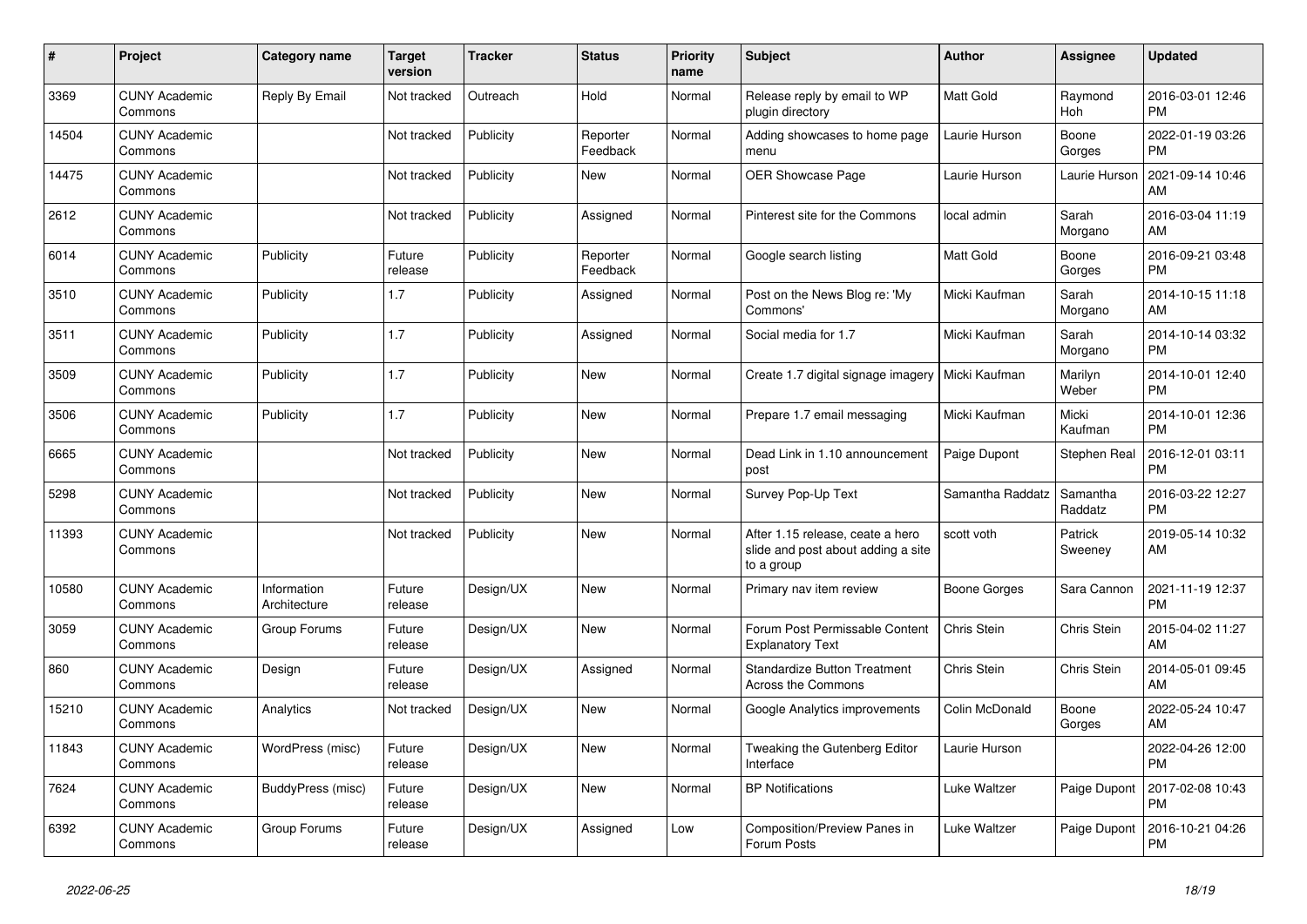| #     | <b>Project</b>                  | <b>Category name</b>        | <b>Target</b><br>version | Tracker   | <b>Status</b>        | <b>Priority</b><br>name | <b>Subject</b>                                                                       | <b>Author</b>    | Assignee            | <b>Updated</b>                |
|-------|---------------------------------|-----------------------------|--------------------------|-----------|----------------------|-------------------------|--------------------------------------------------------------------------------------|------------------|---------------------|-------------------------------|
| 3369  | <b>CUNY Academic</b><br>Commons | Reply By Email              | Not tracked              | Outreach  | Hold                 | Normal                  | Release reply by email to WP<br>plugin directory                                     | <b>Matt Gold</b> | Raymond<br>Hoh      | 2016-03-01 12:46<br><b>PM</b> |
| 14504 | <b>CUNY Academic</b><br>Commons |                             | Not tracked              | Publicity | Reporter<br>Feedback | Normal                  | Adding showcases to home page<br>menu                                                | Laurie Hurson    | Boone<br>Gorges     | 2022-01-19 03:26<br><b>PM</b> |
| 14475 | <b>CUNY Academic</b><br>Commons |                             | Not tracked              | Publicity | New                  | Normal                  | <b>OER Showcase Page</b>                                                             | Laurie Hurson    | Laurie Hurson       | 2021-09-14 10:46<br>AM        |
| 2612  | <b>CUNY Academic</b><br>Commons |                             | Not tracked              | Publicity | Assigned             | Normal                  | Pinterest site for the Commons                                                       | local admin      | Sarah<br>Morgano    | 2016-03-04 11:19<br>AM        |
| 6014  | <b>CUNY Academic</b><br>Commons | Publicity                   | Future<br>release        | Publicity | Reporter<br>Feedback | Normal                  | Google search listing                                                                | <b>Matt Gold</b> | Boone<br>Gorges     | 2016-09-21 03:48<br><b>PM</b> |
| 3510  | <b>CUNY Academic</b><br>Commons | Publicity                   | 1.7                      | Publicity | Assigned             | Normal                  | Post on the News Blog re: 'My<br>Commons'                                            | Micki Kaufman    | Sarah<br>Morgano    | 2014-10-15 11:18<br>AM        |
| 3511  | <b>CUNY Academic</b><br>Commons | Publicity                   | 1.7                      | Publicity | Assigned             | Normal                  | Social media for 1.7                                                                 | Micki Kaufman    | Sarah<br>Morgano    | 2014-10-14 03:32<br><b>PM</b> |
| 3509  | <b>CUNY Academic</b><br>Commons | Publicity                   | 1.7                      | Publicity | <b>New</b>           | Normal                  | Create 1.7 digital signage imagery                                                   | Micki Kaufman    | Marilyn<br>Weber    | 2014-10-01 12:40<br><b>PM</b> |
| 3506  | <b>CUNY Academic</b><br>Commons | Publicity                   | 1.7                      | Publicity | <b>New</b>           | Normal                  | Prepare 1.7 email messaging                                                          | Micki Kaufman    | Micki<br>Kaufman    | 2014-10-01 12:36<br><b>PM</b> |
| 6665  | <b>CUNY Academic</b><br>Commons |                             | Not tracked              | Publicity | <b>New</b>           | Normal                  | Dead Link in 1.10 announcement<br>post                                               | Paige Dupont     | <b>Stephen Real</b> | 2016-12-01 03:11<br><b>PM</b> |
| 5298  | <b>CUNY Academic</b><br>Commons |                             | Not tracked              | Publicity | <b>New</b>           | Normal                  | Survey Pop-Up Text                                                                   | Samantha Raddatz | Samantha<br>Raddatz | 2016-03-22 12:27<br><b>PM</b> |
| 11393 | <b>CUNY Academic</b><br>Commons |                             | Not tracked              | Publicity | New                  | Normal                  | After 1.15 release, ceate a hero<br>slide and post about adding a site<br>to a group | scott voth       | Patrick<br>Sweeney  | 2019-05-14 10:32<br>AM        |
| 10580 | <b>CUNY Academic</b><br>Commons | Information<br>Architecture | Future<br>release        | Design/UX | <b>New</b>           | Normal                  | Primary nav item review                                                              | Boone Gorges     | Sara Cannon         | 2021-11-19 12:37<br><b>PM</b> |
| 3059  | <b>CUNY Academic</b><br>Commons | Group Forums                | Future<br>release        | Design/UX | New                  | Normal                  | Forum Post Permissable Content<br><b>Explanatory Text</b>                            | Chris Stein      | Chris Stein         | 2015-04-02 11:27<br>AM        |
| 860   | <b>CUNY Academic</b><br>Commons | Design                      | Future<br>release        | Design/UX | Assigned             | Normal                  | <b>Standardize Button Treatment</b><br>Across the Commons                            | Chris Stein      | Chris Stein         | 2014-05-01 09:45<br>AM        |
| 15210 | <b>CUNY Academic</b><br>Commons | Analytics                   | Not tracked              | Design/UX | <b>New</b>           | Normal                  | Google Analytics improvements                                                        | Colin McDonald   | Boone<br>Gorges     | 2022-05-24 10:47<br>AM        |
| 11843 | <b>CUNY Academic</b><br>Commons | WordPress (misc)            | Future<br>release        | Design/UX | <b>New</b>           | Normal                  | Tweaking the Gutenberg Editor<br>Interface                                           | Laurie Hurson    |                     | 2022-04-26 12:00<br><b>PM</b> |
| 7624  | <b>CUNY Academic</b><br>Commons | BuddyPress (misc)           | Future<br>release        | Design/UX | <b>New</b>           | Normal                  | <b>BP</b> Notifications                                                              | Luke Waltzer     | Paige Dupont        | 2017-02-08 10:43<br><b>PM</b> |
| 6392  | <b>CUNY Academic</b><br>Commons | Group Forums                | Future<br>release        | Design/UX | Assigned             | Low                     | Composition/Preview Panes in<br>Forum Posts                                          | Luke Waltzer     | Paige Dupont        | 2016-10-21 04:26<br><b>PM</b> |